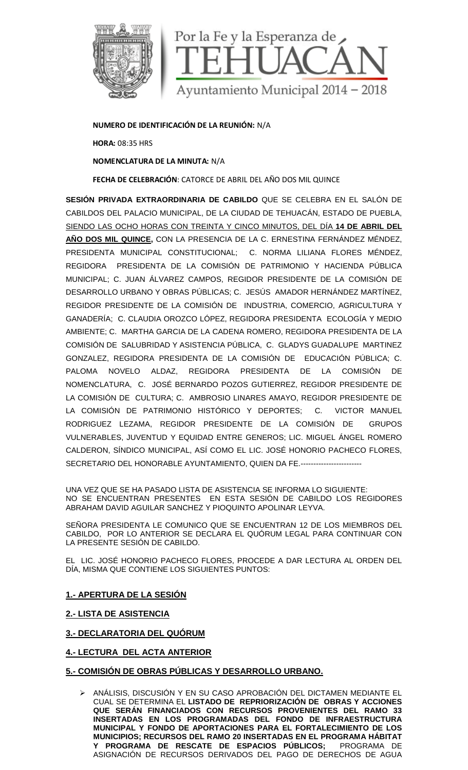

**NUMERO DE IDENTIFICACIÓN DE LA REUNIÓN:** N/A

**HORA:** 08:35 HRS

**NOMENCLATURA DE LA MINUTA:** N/A

**FECHA DE CELEBRACIÓN**: CATORCE DE ABRIL DEL AÑO DOS MIL QUINCE

**SESIÓN PRIVADA EXTRAORDINARIA DE CABILDO** QUE SE CELEBRA EN EL SALÓN DE CABILDOS DEL PALACIO MUNICIPAL, DE LA CIUDAD DE TEHUACÁN, ESTADO DE PUEBLA, SIENDO LAS OCHO HORAS CON TREINTA Y CINCO MINUTOS, DEL DÍA **14 DE ABRIL DEL AÑO DOS MIL QUINCE,** CON LA PRESENCIA DE LA C. ERNESTINA FERNÁNDEZ MÉNDEZ, PRESIDENTA MUNICIPAL CONSTITUCIONAL; C. NORMA LILIANA FLORES MÉNDEZ, REGIDORA PRESIDENTA DE LA COMISIÓN DE PATRIMONIO Y HACIENDA PÚBLICA MUNICIPAL; C. JUAN ÁLVAREZ CAMPOS, REGIDOR PRESIDENTE DE LA COMISIÓN DE DESARROLLO URBANO Y OBRAS PÚBLICAS; C. JESÚS AMADOR HERNÁNDEZ MARTÍNEZ, REGIDOR PRESIDENTE DE LA COMISIÓN DE INDUSTRIA, COMERCIO, AGRICULTURA Y GANADERÍA; C. CLAUDIA OROZCO LÓPEZ, REGIDORA PRESIDENTA ECOLOGÍA Y MEDIO AMBIENTE; C. MARTHA GARCIA DE LA CADENA ROMERO, REGIDORA PRESIDENTA DE LA COMISIÓN DE SALUBRIDAD Y ASISTENCIA PÚBLICA, C. GLADYS GUADALUPE MARTINEZ GONZALEZ, REGIDORA PRESIDENTA DE LA COMISIÓN DE EDUCACIÓN PÚBLICA; C. PALOMA NOVELO ALDAZ, REGIDORA PRESIDENTA DE LA COMISIÓN DE NOMENCLATURA, C. JOSÉ BERNARDO POZOS GUTIERREZ, REGIDOR PRESIDENTE DE LA COMISIÓN DE CULTURA; C. AMBROSIO LINARES AMAYO, REGIDOR PRESIDENTE DE LA COMISIÓN DE PATRIMONIO HISTÓRICO Y DEPORTES; C. VICTOR MANUEL RODRIGUEZ LEZAMA, REGIDOR PRESIDENTE DE LA COMISIÓN DE GRUPOS VULNERABLES, JUVENTUD Y EQUIDAD ENTRE GENEROS; LIC. MIGUEL ÁNGEL ROMERO CALDERON, SÍNDICO MUNICIPAL, ASÍ COMO EL LIC. JOSÉ HONORIO PACHECO FLORES, SECRETARIO DEL HONORABLE AYUNTAMIENTO, QUIEN DA FE.------------------------

UNA VEZ QUE SE HA PASADO LISTA DE ASISTENCIA SE INFORMA LO SIGUIENTE: NO SE ENCUENTRAN PRESENTES EN ESTA SESIÓN DE CABILDO LOS REGIDORES ABRAHAM DAVID AGUILAR SANCHEZ Y PIOQUINTO APOLINAR LEYVA.

SEÑORA PRESIDENTA LE COMUNICO QUE SE ENCUENTRAN 12 DE LOS MIEMBROS DEL CABILDO, POR LO ANTERIOR SE DECLARA EL QUÓRUM LEGAL PARA CONTINUAR CON LA PRESENTE SESIÓN DE CABILDO.

EL LIC. JOSÉ HONORIO PACHECO FLORES, PROCEDE A DAR LECTURA AL ORDEN DEL DÍA, MISMA QUE CONTIENE LOS SIGUIENTES PUNTOS:

## **1.- APERTURA DE LA SESIÓN**

## **2.- LISTA DE ASISTENCIA**

## **3.- DECLARATORIA DEL QUÓRUM**

## **4.- LECTURA DEL ACTA ANTERIOR**

## **5.- COMISIÓN DE OBRAS PÚBLICAS Y DESARROLLO URBANO.**

 ANÁLISIS, DISCUSIÓN Y EN SU CASO APROBACIÓN DEL DICTAMEN MEDIANTE EL CUAL SE DETERMINA EL **LISTADO DE REPRIORIZACIÓN DE OBRAS Y ACCIONES QUE SERÁN FINANCIADOS CON RECURSOS PROVENIENTES DEL RAMO 33 INSERTADAS EN LOS PROGRAMADAS DEL FONDO DE INFRAESTRUCTURA MUNICIPAL Y FONDO DE APORTACIONES PARA EL FORTALECIMIENTO DE LOS MUNICIPIOS; RECURSOS DEL RAMO 20 INSERTADAS EN EL PROGRAMA HÁBITAT Y PROGRAMA DE RESCATE DE ESPACIOS PÚBLICOS;** PROGRAMA DE ASIGNACIÓN DE RECURSOS DERIVADOS DEL PAGO DE DERECHOS DE AGUA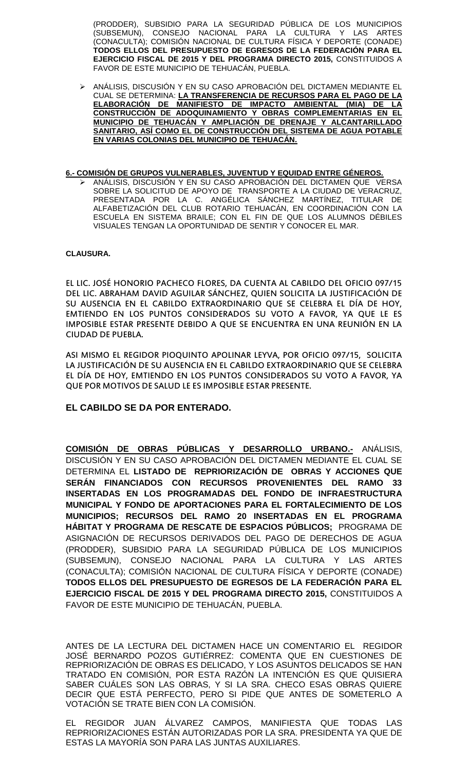(PRODDER), SUBSIDIO PARA LA SEGURIDAD PÚBLICA DE LOS MUNICIPIOS (SUBSEMUN), CONSEJO NACIONAL PARA LA CULTURA Y LAS ARTES (CONACULTA); COMISIÓN NACIONAL DE CULTURA FÍSICA Y DEPORTE (CONADE) **TODOS ELLOS DEL PRESUPUESTO DE EGRESOS DE LA FEDERACIÓN PARA EL EJERCICIO FISCAL DE 2015 Y DEL PROGRAMA DIRECTO 2015,** CONSTITUIDOS A FAVOR DE ESTE MUNICIPIO DE TEHUACÁN, PUEBLA.

 ANÁLISIS, DISCUSIÓN Y EN SU CASO APROBACIÓN DEL DICTAMEN MEDIANTE EL CUAL SE DETERMINA: **LA TRANSFERENCIA DE RECURSOS PARA EL PAGO DE LA ELABORACIÓN DE MANIFIESTO DE IMPACTO AMBIENTAL (MIA) DE LA CONSTRUCCIÓN DE ADOQUINAMIENTO Y OBRAS COMPLEMENTARIAS EN EL MUNICIPIO DE TEHUACÁN Y AMPLIACIÓN DE DRENAJE Y ALCANTARILLADO SANITARIO, ASÍ COMO EL DE CONSTRUCCIÓN DEL SISTEMA DE AGUA POTABLE EN VARIAS COLONIAS DEL MUNICIPIO DE TEHUACÁN.**

#### **6.- COMISIÓN DE GRUPOS VULNERABLES, JUVENTUD Y EQUIDAD ENTRE GÉNEROS.**

 ANÁLISIS, DISCUSIÓN Y EN SU CASO APROBACIÓN DEL DICTAMEN QUE VERSA SOBRE LA SOLICITUD DE APOYO DE TRANSPORTE A LA CIUDAD DE VERACRUZ, PRESENTADA POR LA C. ANGÉLICA SÁNCHEZ MARTÍNEZ, TITULAR DE ALFABETIZACIÓN DEL CLUB ROTARIO TEHUACÁN, EN COORDINACIÓN CON LA ESCUELA EN SISTEMA BRAILE; CON EL FIN DE QUE LOS ALUMNOS DÉBILES VISUALES TENGAN LA OPORTUNIDAD DE SENTIR Y CONOCER EL MAR.

#### **CLAUSURA.**

EL LIC. JOSÉ HONORIO PACHECO FLORES, DA CUENTA AL CABILDO DEL OFICIO 097/15 DEL LIC. ABRAHAM DAVID AGUILAR SÁNCHEZ, QUIEN SOLICITA LA JUSTIFICACIÓN DE SU AUSENCIA EN EL CABILDO EXTRAORDINARIO QUE SE CELEBRA EL DÍA DE HOY, EMTIENDO EN LOS PUNTOS CONSIDERADOS SU VOTO A FAVOR, YA QUE LE ES IMPOSIBLE ESTAR PRESENTE DEBIDO A QUE SE ENCUENTRA EN UNA REUNIÓN EN LA CIUDAD DE PUEBLA.

ASI MISMO EL REGIDOR PIOQUINTO APOLINAR LEYVA, POR OFICIO 097/15, SOLICITA LA JUSTIFICACIÓN DE SU AUSENCIA EN EL CABILDO EXTRAORDINARIO QUE SE CELEBRA EL DÍA DE HOY, EMTIENDO EN LOS PUNTOS CONSIDERADOS SU VOTO A FAVOR, YA QUE POR MOTIVOS DE SALUD LE ES IMPOSIBLE ESTAR PRESENTE.

## **EL CABILDO SE DA POR ENTERADO.**

**COMISIÓN DE OBRAS PÚBLICAS Y DESARROLLO URBANO.-** ANÁLISIS, DISCUSIÓN Y EN SU CASO APROBACIÓN DEL DICTAMEN MEDIANTE EL CUAL SE DETERMINA EL **LISTADO DE REPRIORIZACIÓN DE OBRAS Y ACCIONES QUE SERÁN FINANCIADOS CON RECURSOS PROVENIENTES DEL RAMO 33 INSERTADAS EN LOS PROGRAMADAS DEL FONDO DE INFRAESTRUCTURA MUNICIPAL Y FONDO DE APORTACIONES PARA EL FORTALECIMIENTO DE LOS MUNICIPIOS; RECURSOS DEL RAMO 20 INSERTADAS EN EL PROGRAMA HÁBITAT Y PROGRAMA DE RESCATE DE ESPACIOS PÚBLICOS;** PROGRAMA DE ASIGNACIÓN DE RECURSOS DERIVADOS DEL PAGO DE DERECHOS DE AGUA (PRODDER), SUBSIDIO PARA LA SEGURIDAD PÚBLICA DE LOS MUNICIPIOS (SUBSEMUN), CONSEJO NACIONAL PARA LA CULTURA Y LAS ARTES (CONACULTA); COMISIÓN NACIONAL DE CULTURA FÍSICA Y DEPORTE (CONADE) **TODOS ELLOS DEL PRESUPUESTO DE EGRESOS DE LA FEDERACIÓN PARA EL EJERCICIO FISCAL DE 2015 Y DEL PROGRAMA DIRECTO 2015,** CONSTITUIDOS A FAVOR DE ESTE MUNICIPIO DE TEHUACÁN, PUEBLA.

ANTES DE LA LECTURA DEL DICTAMEN HACE UN COMENTARIO EL REGIDOR JOSÉ BERNARDO POZOS GUTIÉRREZ: COMENTA QUE EN CUESTIONES DE REPRIORIZACIÓN DE OBRAS ES DELICADO, Y LOS ASUNTOS DELICADOS SE HAN TRATADO EN COMISIÓN, POR ESTA RAZÓN LA INTENCIÓN ES QUE QUISIERA SABER CUÁLES SON LAS OBRAS, Y SI LA SRA. CHECO ESAS OBRAS QUIERE DECIR QUE ESTÁ PERFECTO, PERO SI PIDE QUE ANTES DE SOMETERLO A VOTACIÓN SE TRATE BIEN CON LA COMISIÓN.

EL REGIDOR JUAN ÁLVAREZ CAMPOS, MANIFIESTA QUE TODAS LAS REPRIORIZACIONES ESTÁN AUTORIZADAS POR LA SRA. PRESIDENTA YA QUE DE ESTAS LA MAYORÍA SON PARA LAS JUNTAS AUXILIARES.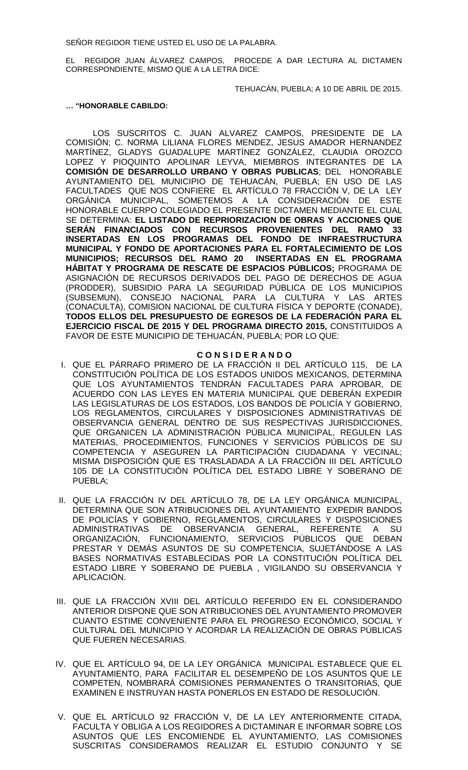SEÑOR REGIDOR TIENE USTED EL USO DE LA PALABRA.

EL REGIDOR JUAN ÁLVAREZ CAMPOS, PROCEDE A DAR LECTURA AL DICTAMEN CORRESPONDIENTE, MISMO QUE A LA LETRA DICE:

TEHUACÁN, PUEBLA; A 10 DE ABRIL DE 2015.

#### **… "HONORABLE CABILDO:**

LOS SUSCRITOS C. JUAN ALVAREZ CAMPOS, PRESIDENTE DE LA COMISIÓN; C. NORMA LILIANA FLORES MENDEZ, JESUS AMADOR HERNANDEZ MARTÍNEZ, GLADYS GUADALUPE MARTÍNEZ GONZÁLEZ, CLAUDIA OROZCO LOPEZ Y PIOQUINTO APOLINAR LEYVA, MIEMBROS INTEGRANTES DE LA **COMISIÓN DE DESARROLLO URBANO Y OBRAS PUBLICAS**; DEL HONORABLE AYUNTAMIENTO DEL MUNICIPIO DE TEHUACÁN, PUEBLA; EN USO DE LAS FACULTADES QUE NOS CONFIERE EL ARTÍCULO 78 FRACCIÓN V, DE LA LEY ORGÁNICA MUNICIPAL, SOMETEMOS A LA CONSIDERACIÓN DE ESTE HONORABLE CUERPO COLEGIADO EL PRESENTE DICTAMEN MEDIANTE EL CUAL SE DETERMINA: **EL LISTADO DE REPRIORIZACION DE OBRAS Y ACCIONES QUE SERÁN FINANCIADOS CON RECURSOS PROVENIENTES DEL RAMO 33 INSERTADAS EN LOS PROGRAMAS DEL FONDO DE INFRAESTRUCTURA MUNICIPAL Y FONDO DE APORTACIONES PARA EL FORTALECIMIENTO DE LOS MUNICIPIOS; RECURSOS DEL RAMO 20 INSERTADAS EN EL PROGRAMA HÁBITAT Y PROGRAMA DE RESCATE DE ESPACIOS PÚBLICOS;** PROGRAMA DE ASIGNACIÓN DE RECURSOS DERIVADOS DEL PAGO DE DERECHOS DE AGUA (PRODDER), SUBSIDIO PARA LA SEGURIDAD PÚBLICA DE LOS MUNICIPIOS (SUBSEMUN), CONSEJO NACIONAL PARA LA CULTURA Y LAS ARTES (CONACULTA), COMISION NACIONAL DE CULTURA FÍSICA Y DEPORTE (CONADE), **TODOS ELLOS DEL PRESUPUESTO DE EGRESOS DE LA FEDERACIÓN PARA EL EJERCICIO FISCAL DE 2015 Y DEL PROGRAMA DIRECTO 2015,** CONSTITUIDOS A FAVOR DE ESTE MUNICIPIO DE TEHUACÁN, PUEBLA; POR LO QUE:

### **C O N S I D E R A N D O**

- I. QUE EL PÁRRAFO PRIMERO DE LA FRACCIÓN II DEL ARTÍCULO 115, DE LA CONSTITUCIÓN POLÍTICA DE LOS ESTADOS UNIDOS MEXICANOS, DETERMINA QUE LOS AYUNTAMIENTOS TENDRÁN FACULTADES PARA APROBAR, DE ACUERDO CON LAS LEYES EN MATERIA MUNICIPAL QUE DEBERÁN EXPEDIR LAS LEGISLATURAS DE LOS ESTADOS, LOS BANDOS DE POLICÍA Y GOBIERNO, LOS REGLAMENTOS, CIRCULARES Y DISPOSICIONES ADMINISTRATIVAS DE OBSERVANCIA GENERAL DENTRO DE SUS RESPECTIVAS JURISDICCIONES, QUE ORGANICEN LA ADMINISTRACIÓN PÚBLICA MUNICIPAL, REGULEN LAS MATERIAS, PROCEDIMIENTOS, FUNCIONES Y SERVICIOS PÚBLICOS DE SU COMPETENCIA Y ASEGUREN LA PARTICIPACIÓN CIUDADANA Y VECINAL; MISMA DISPOSICIÓN QUE ES TRASLADADA A LA FRACCIÓN III DEL ARTÍCULO 105 DE LA CONSTITUCIÓN POLÍTICA DEL ESTADO LIBRE Y SOBERANO DE PUEBLA;
- II. QUE LA FRACCIÓN IV DEL ARTÍCULO 78, DE LA LEY ORGÁNICA MUNICIPAL, DETERMINA QUE SON ATRIBUCIONES DEL AYUNTAMIENTO EXPEDIR BANDOS DE POLICÍAS Y GOBIERNO, REGLAMENTOS, CIRCULARES Y DISPOSICIONES<br>ADMINISTRATIVAS DE OBSERVANCIA GENERAL. REFERENTE A SU ADMINISTRATIVAS DE OBSERVANCIA GENERAL, REFERENTE A SU<br>ORGANIZACIÓN, FUNCIONAMIENTO, SERVICIOS PÚBLICOS QUE DEBAN ORGANIZACIÓN, FUNCIONAMIENTO, SERVICIOS PÚBLICOS QUE PRESTAR Y DEMÁS ASUNTOS DE SU COMPETENCIA, SUJETÁNDOSE A LAS BASES NORMATIVAS ESTABLECIDAS POR LA CONSTITUCIÓN POLÍTICA DEL ESTADO LIBRE Y SOBERANO DE PUEBLA , VIGILANDO SU OBSERVANCIA Y APLICACIÓN.
- III. QUE LA FRACCIÓN XVIII DEL ARTÍCULO REFERIDO EN EL CONSIDERANDO ANTERIOR DISPONE QUE SON ATRIBUCIONES DEL AYUNTAMIENTO PROMOVER CUANTO ESTIME CONVENIENTE PARA EL PROGRESO ECONÓMICO, SOCIAL Y CULTURAL DEL MUNICIPIO Y ACORDAR LA REALIZACIÓN DE OBRAS PÚBLICAS QUE FUEREN NECESARIAS.
- IV. QUE EL ARTÍCULO 94, DE LA LEY ORGÁNICA MUNICIPAL ESTABLECE QUE EL AYUNTAMIENTO, PARA FACILITAR EL DESEMPEÑO DE LOS ASUNTOS QUE LE COMPETEN, NOMBRARÁ COMISIONES PERMANENTES O TRANSITORIAS, QUE EXAMINEN E INSTRUYAN HASTA PONERLOS EN ESTADO DE RESOLUCIÓN.
- V. QUE EL ARTÍCULO 92 FRACCIÓN V, DE LA LEY ANTERIORMENTE CITADA, FACULTA Y OBLIGA A LOS REGIDORES A DICTAMINAR E INFORMAR SOBRE LOS ASUNTOS QUE LES ENCOMIENDE EL AYUNTAMIENTO, LAS COMISIONES SUSCRITAS CONSIDERAMOS REALIZAR EL ESTUDIO CONJUNTO Y SE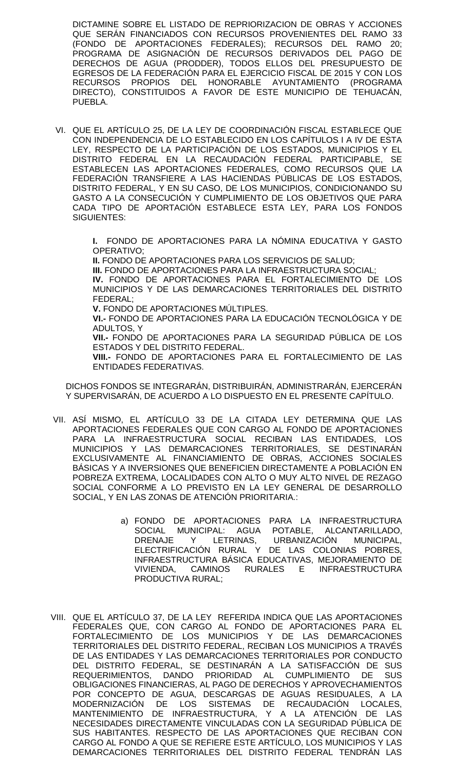DICTAMINE SOBRE EL LISTADO DE REPRIORIZACION DE OBRAS Y ACCIONES QUE SERÁN FINANCIADOS CON RECURSOS PROVENIENTES DEL RAMO 33 (FONDO DE APORTACIONES FEDERALES); RECURSOS DEL RAMO 20; PROGRAMA DE ASIGNACIÓN DE RECURSOS DERIVADOS DEL PAGO DE DERECHOS DE AGUA (PRODDER), TODOS ELLOS DEL PRESUPUESTO DE EGRESOS DE LA FEDERACIÓN PARA EL EJERCICIO FISCAL DE 2015 Y CON LOS RECURSOS PROPIOS DEL HONORABLE AYUNTAMIENTO (PROGRAMA DIRECTO), CONSTITUIDOS A FAVOR DE ESTE MUNICIPIO DE TEHUACÁN, PUEBLA.

VI. QUE EL ARTÍCULO 25, DE LA LEY DE COORDINACIÓN FISCAL ESTABLECE QUE CON INDEPENDENCIA DE LO ESTABLECIDO EN LOS CAPÍTULOS I A IV DE ESTA LEY, RESPECTO DE LA PARTICIPACIÓN DE LOS ESTADOS, MUNICIPIOS Y EL DISTRITO FEDERAL EN LA RECAUDACIÓN FEDERAL PARTICIPABLE, SE ESTABLECEN LAS APORTACIONES FEDERALES, COMO RECURSOS QUE LA FEDERACIÓN TRANSFIERE A LAS HACIENDAS PÚBLICAS DE LOS ESTADOS, DISTRITO FEDERAL, Y EN SU CASO, DE LOS MUNICIPIOS, CONDICIONANDO SU GASTO A LA CONSECUCIÓN Y CUMPLIMIENTO DE LOS OBJETIVOS QUE PARA CADA TIPO DE APORTACIÓN ESTABLECE ESTA LEY, PARA LOS FONDOS SIGUIENTES:

> **I.** FONDO DE APORTACIONES PARA LA NÓMINA EDUCATIVA Y GASTO OPERATIVO;

> **II.** FONDO DE APORTACIONES PARA LOS SERVICIOS DE SALUD; **III.** FONDO DE APORTACIONES PARA LA INFRAESTRUCTURA SOCIAL; **IV.** FONDO DE APORTACIONES PARA EL FORTALECIMIENTO DE LOS MUNICIPIOS Y DE LAS DEMARCACIONES TERRITORIALES DEL DISTRITO FEDERAL; **V.** FONDO DE APORTACIONES MÚLTIPLES.

> **VI.-** FONDO DE APORTACIONES PARA LA EDUCACIÓN TECNOLÓGICA Y DE ADULTOS, Y

> **VII.-** FONDO DE APORTACIONES PARA LA SEGURIDAD PÚBLICA DE LOS ESTADOS Y DEL DISTRITO FEDERAL.

> **VIII.-** FONDO DE APORTACIONES PARA EL FORTALECIMIENTO DE LAS ENTIDADES FEDERATIVAS.

DICHOS FONDOS SE INTEGRARÁN, DISTRIBUIRÁN, ADMINISTRARÁN, EJERCERÁN Y SUPERVISARÁN, DE ACUERDO A LO DISPUESTO EN EL PRESENTE CAPÍTULO.

- VII. ASÍ MISMO, EL ARTÍCULO 33 DE LA CITADA LEY DETERMINA QUE LAS APORTACIONES FEDERALES QUE CON CARGO AL FONDO DE APORTACIONES PARA LA INFRAESTRUCTURA SOCIAL RECIBAN LAS ENTIDADES, LOS MUNICIPIOS Y LAS DEMARCACIONES TERRITORIALES, SE DESTINARÁN EXCLUSIVAMENTE AL FINANCIAMIENTO DE OBRAS, ACCIONES SOCIALES BÁSICAS Y A INVERSIONES QUE BENEFICIEN DIRECTAMENTE A POBLACIÓN EN POBREZA EXTREMA, LOCALIDADES CON ALTO O MUY ALTO NIVEL DE REZAGO SOCIAL CONFORME A LO PREVISTO EN LA LEY GENERAL DE DESARROLLO SOCIAL, Y EN LAS ZONAS DE ATENCIÓN PRIORITARIA.:
	- a) FONDO DE APORTACIONES PARA LA INFRAESTRUCTURA SOCIAL MUNICIPAL: AGUA POTABLE, ALCANTARILLADO,<br>DRENAJE Y LETRINAS, URBANIZACIÓN MUNICIPAL, DRENAJE Y LETRINAS, URBANIZACIÓN MUNICIPAL, ELECTRIFICACIÓN RURAL Y DE LAS COLONIAS POBRES, INFRAESTRUCTURA BÁSICA EDUCATIVAS, MEJORAMIENTO DE VIVIENDA, CAMINOS RURALES E INFRAESTRUCTURA PRODUCTIVA RURAL;
- VIII. QUE EL ARTÍCULO 37, DE LA LEY REFERIDA INDICA QUE LAS APORTACIONES FEDERALES QUE, CON CARGO AL FONDO DE APORTACIONES PARA EL FORTALECIMIENTO DE LOS MUNICIPIOS Y DE LAS DEMARCACIONES TERRITORIALES DEL DISTRITO FEDERAL, RECIBAN LOS MUNICIPIOS A TRAVÉS DE LAS ENTIDADES Y LAS DEMARCACIONES TERRITORIALES POR CONDUCTO DEL DISTRITO FEDERAL, SE DESTINARÁN A LA SATISFACCIÓN DE SUS REQUERIMIENTOS, DANDO PRIORIDAD AL CUMPLIMIENTO DE SUS OBLIGACIONES FINANCIERAS, AL PAGO DE DERECHOS Y APROVECHAMIENTOS POR CONCEPTO DE AGUA, DESCARGAS DE AGUAS RESIDUALES, A LA MODERNIZACIÓN DE LOS SISTEMAS DE RECAUDACIÓN LOCALES, MANTENIMIENTO DE INFRAESTRUCTURA, Y A LA ATENCIÓN DE LAS NECESIDADES DIRECTAMENTE VINCULADAS CON LA SEGURIDAD PÚBLICA DE SUS HABITANTES. RESPECTO DE LAS APORTACIONES QUE RECIBAN CON CARGO AL FONDO A QUE SE REFIERE ESTE ARTÍCULO, LOS MUNICIPIOS Y LAS DEMARCACIONES TERRITORIALES DEL DISTRITO FEDERAL TENDRÁN LAS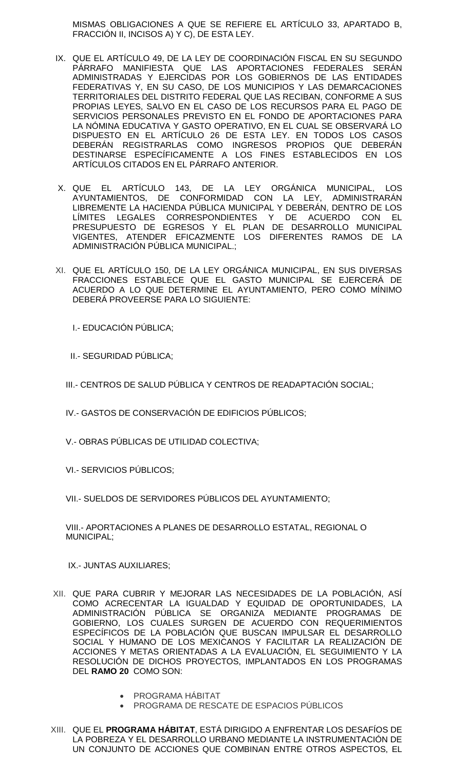MISMAS OBLIGACIONES A QUE SE REFIERE EL ARTÍCULO 33, APARTADO B, FRACCIÓN II, INCISOS A) Y C), DE ESTA LEY.

- IX. QUE EL ARTÍCULO 49, DE LA LEY DE COORDINACIÓN FISCAL EN SU SEGUNDO PÁRRAFO MANIFIESTA QUE LAS APORTACIONES FEDERALES SERÁN ADMINISTRADAS Y EJERCIDAS POR LOS GOBIERNOS DE LAS ENTIDADES FEDERATIVAS Y, EN SU CASO, DE LOS MUNICIPIOS Y LAS DEMARCACIONES TERRITORIALES DEL DISTRITO FEDERAL QUE LAS RECIBAN, CONFORME A SUS PROPIAS LEYES, SALVO EN EL CASO DE LOS RECURSOS PARA EL PAGO DE SERVICIOS PERSONALES PREVISTO EN EL FONDO DE APORTACIONES PARA LA NÓMINA EDUCATIVA Y GASTO OPERATIVO, EN EL CUAL SE OBSERVARÁ LO DISPUESTO EN EL ARTÍCULO 26 DE ESTA LEY. EN TODOS LOS CASOS DEBERÁN REGISTRARLAS COMO INGRESOS PROPIOS QUE DEBERÁN DESTINARSE ESPECÍFICAMENTE A LOS FINES ESTABLECIDOS EN LOS ARTÍCULOS CITADOS EN EL PÁRRAFO ANTERIOR.
- X. QUE EL ARTÍCULO 143, DE LA LEY ORGÁNICA MUNICIPAL, LOS AYUNTAMIENTOS, DE CONFORMIDAD CON LA LEY, ADMINISTRARÁN LIBREMENTE LA HACIENDA PÚBLICA MUNICIPAL Y DEBERÁN, DENTRO DE LOS LÍMITES LEGALES CORRESPONDIENTES Y DE ACUERDO CON EL PRESUPUESTO DE EGRESOS Y EL PLAN DE DESARROLLO MUNICIPAL VIGENTES, ATENDER EFICAZMENTE LOS DIFERENTES RAMOS DE LA ADMINISTRACIÓN PÚBLICA MUNICIPAL.;
- XI. QUE EL ARTÍCULO 150, DE LA LEY ORGÁNICA MUNICIPAL, EN SUS DIVERSAS FRACCIONES ESTABLECE QUE EL GASTO MUNICIPAL SE EJERCERÁ DE ACUERDO A LO QUE DETERMINE EL AYUNTAMIENTO, PERO COMO MÍNIMO DEBERÁ PROVEERSE PARA LO SIGUIENTE:

I.- EDUCACIÓN PÚBLICA;

II.- SEGURIDAD PÚBLICA;

III.- CENTROS DE SALUD PÚBLICA Y CENTROS DE READAPTACIÓN SOCIAL;

IV.- GASTOS DE CONSERVACIÓN DE EDIFICIOS PÚBLICOS;

V.- OBRAS PÚBLICAS DE UTILIDAD COLECTIVA;

VI.- SERVICIOS PÚBLICOS;

VII.- SUELDOS DE SERVIDORES PÚBLICOS DEL AYUNTAMIENTO;

VIII.- APORTACIONES A PLANES DE DESARROLLO ESTATAL, REGIONAL O MUNICIPAL;

## IX.- JUNTAS AUXILIARES;

- XII. QUE PARA CUBRIR Y MEJORAR LAS NECESIDADES DE LA POBLACIÓN, ASÍ COMO ACRECENTAR LA IGUALDAD Y EQUIDAD DE OPORTUNIDADES, LA ADMINISTRACIÓN PÚBLICA SE ORGANIZA MEDIANTE PROGRAMAS DE GOBIERNO, LOS CUALES SURGEN DE ACUERDO CON REQUERIMIENTOS ESPECÍFICOS DE LA POBLACIÓN QUE BUSCAN IMPULSAR EL DESARROLLO SOCIAL Y HUMANO DE LOS MEXICANOS Y FACILITAR LA REALIZACIÓN DE ACCIONES Y METAS ORIENTADAS A LA EVALUACIÓN, EL SEGUIMIENTO Y LA RESOLUCIÓN DE DICHOS PROYECTOS, IMPLANTADOS EN LOS PROGRAMAS DEL **RAMO 20** COMO SON:
	- PROGRAMA HÁBITAT
	- PROGRAMA DE RESCATE DE ESPACIOS PÚBLICOS
- XIII. QUE EL **PROGRAMA HÁBITAT**, ESTÁ DIRIGIDO A ENFRENTAR LOS DESAFÍOS DE LA POBREZA Y EL DESARROLLO URBANO MEDIANTE LA INSTRUMENTACIÓN DE UN CONJUNTO DE ACCIONES QUE COMBINAN ENTRE OTROS ASPECTOS, EL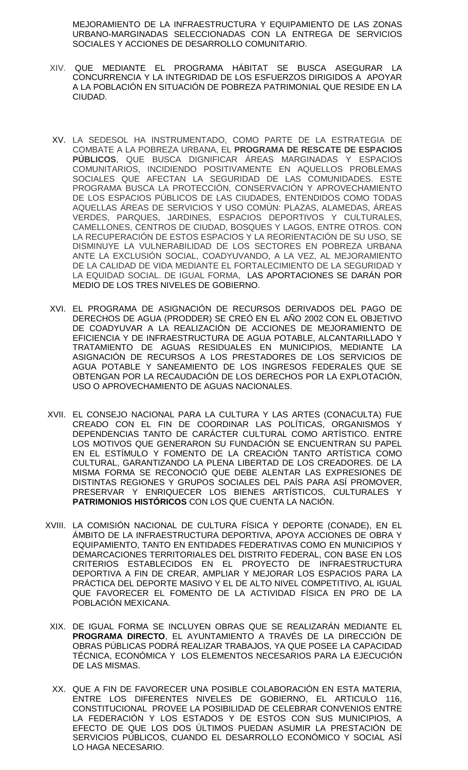MEJORAMIENTO DE LA INFRAESTRUCTURA Y EQUIPAMIENTO DE LAS ZONAS URBANO-MARGINADAS SELECCIONADAS CON LA ENTREGA DE SERVICIOS SOCIALES Y ACCIONES DE DESARROLLO COMUNITARIO.

- XIV. QUE MEDIANTE EL PROGRAMA HÁBITAT SE BUSCA ASEGURAR LA CONCURRENCIA Y LA INTEGRIDAD DE LOS ESFUERZOS DIRIGIDOS A APOYAR A LA POBLACIÓN EN SITUACIÓN DE POBREZA PATRIMONIAL QUE RESIDE EN LA CIUDAD.
- XV. LA SEDESOL HA INSTRUMENTADO, COMO PARTE DE LA ESTRATEGIA DE COMBATE A LA POBREZA URBANA, EL **PROGRAMA DE RESCATE DE ESPACIOS PÚBLICOS**, QUE BUSCA DIGNIFICAR ÁREAS MARGINADAS Y ESPACIOS COMUNITARIOS, INCIDIENDO POSITIVAMENTE EN AQUELLOS PROBLEMAS SOCIALES QUE AFECTAN LA SEGURIDAD DE LAS COMUNIDADES. ESTE PROGRAMA BUSCA LA PROTECCIÓN, CONSERVACIÓN Y APROVECHAMIENTO DE LOS ESPACIOS PÚBLICOS DE LAS CIUDADES, ENTENDIDOS COMO TODAS AQUELLAS ÁREAS DE SERVICIOS Y USO COMÚN: PLAZAS, ALAMEDAS, ÁREAS VERDES, PARQUES, JARDINES, ESPACIOS DEPORTIVOS Y CULTURALES, CAMELLONES, CENTROS DE CIUDAD, BOSQUES Y LAGOS, ENTRE OTROS. CON LA RECUPERACIÓN DE ESTOS ESPACIOS Y LA REORIENTACIÓN DE SU USO, SE DISMINUYE LA VULNERABILIDAD DE LOS SECTORES EN POBREZA URBANA ANTE LA EXCLUSIÓN SOCIAL, COADYUVANDO, A LA VEZ, AL MEJORAMIENTO DE LA CALIDAD DE VIDA MEDIANTE EL FORTALECIMIENTO DE LA SEGURIDAD Y LA EQUIDAD SOCIAL. DE IGUAL FORMA, LAS APORTACIONES SE DARÁN POR MEDIO DE LOS TRES NIVELES DE GOBIERNO.
- XVI. EL PROGRAMA DE ASIGNACIÓN DE RECURSOS DERIVADOS DEL PAGO DE DERECHOS DE AGUA (PRODDER) SE CREÓ EN EL AÑO 2002 CON EL OBJETIVO DE COADYUVAR A LA REALIZACIÓN DE ACCIONES DE MEJORAMIENTO DE EFICIENCIA Y DE INFRAESTRUCTURA DE AGUA POTABLE, ALCANTARILLADO Y TRATAMIENTO DE AGUAS RESIDUALES EN MUNICIPIOS, MEDIANTE LA ASIGNACIÓN DE RECURSOS A LOS PRESTADORES DE LOS SERVICIOS DE AGUA POTABLE Y SANEAMIENTO DE LOS INGRESOS FEDERALES QUE SE OBTENGAN POR LA RECAUDACIÓN DE LOS DERECHOS POR LA EXPLOTACIÓN, USO O APROVECHAMIENTO DE AGUAS NACIONALES.
- XVII. EL CONSEJO NACIONAL PARA LA CULTURA Y LAS ARTES (CONACULTA) FUE CREADO CON EL FIN DE COORDINAR LAS POLÍTICAS, ORGANISMOS Y DEPENDENCIAS TANTO DE CARÁCTER CULTURAL COMO ARTÍSTICO. ENTRE LOS MOTIVOS QUE GENERARON SU FUNDACIÓN SE ENCUENTRAN SU PAPEL EN EL ESTÍMULO Y FOMENTO DE LA CREACIÓN TANTO ARTÍSTICA COMO CULTURAL, GARANTIZANDO LA PLENA LIBERTAD DE LOS CREADORES. DE LA MISMA FORMA SE RECONOCIÓ QUE DEBE ALENTAR LAS EXPRESIONES DE DISTINTAS REGIONES Y GRUPOS SOCIALES DEL PAÍS PARA ASÍ PROMOVER, PRESERVAR Y ENRIQUECER LOS BIENES ARTÍSTICOS, CULTURALES Y **PATRIMONIOS HISTÓRICOS** CON LOS QUE CUENTA LA NACIÓN.
- XVIII. LA COMISIÓN NACIONAL DE CULTURA FÍSICA Y DEPORTE (CONADE), EN EL ÁMBITO DE LA INFRAESTRUCTURA DEPORTIVA, APOYA ACCIONES DE OBRA Y EQUIPAMIENTO, TANTO EN ENTIDADES FEDERATIVAS COMO EN MUNICIPIOS Y DEMARCACIONES TERRITORIALES DEL DISTRITO FEDERAL, CON BASE EN LOS CRITERIOS ESTABLECIDOS EN EL PROYECTO DE INFRAESTRUCTURA DEPORTIVA A FIN DE CREAR, AMPLIAR Y MEJORAR LOS ESPACIOS PARA LA PRÁCTICA DEL DEPORTE MASIVO Y EL DE ALTO NIVEL COMPETITIVO, AL IGUAL QUE FAVORECER EL FOMENTO DE LA ACTIVIDAD FÍSICA EN PRO DE LA POBLACIÓN MEXICANA.
- XIX. DE IGUAL FORMA SE INCLUYEN OBRAS QUE SE REALIZARÁN MEDIANTE EL **PROGRAMA DIRECTO**, EL AYUNTAMIENTO A TRAVÉS DE LA DIRECCIÓN DE OBRAS PÚBLICAS PODRÁ REALIZAR TRABAJOS, YA QUE POSEE LA CAPACIDAD TÉCNICA, ECONÓMICA Y LOS ELEMENTOS NECESARIOS PARA LA EJECUCIÓN DE LAS MISMAS.
- XX. QUE A FIN DE FAVORECER UNA POSIBLE COLABORACIÓN EN ESTA MATERIA, ENTRE LOS DIFERENTES NIVELES DE GOBIERNO, EL ARTICULO 116, CONSTITUCIONAL PROVEE LA POSIBILIDAD DE CELEBRAR CONVENIOS ENTRE LA FEDERACIÓN Y LOS ESTADOS Y DE ESTOS CON SUS MUNICIPIOS, A EFECTO DE QUE LOS DOS ÚLTIMOS PUEDAN ASUMIR LA PRESTACIÓN DE SERVICIOS PÚBLICOS, CUANDO EL DESARROLLO ECONÓMICO Y SOCIAL ASÍ LO HAGA NECESARIO.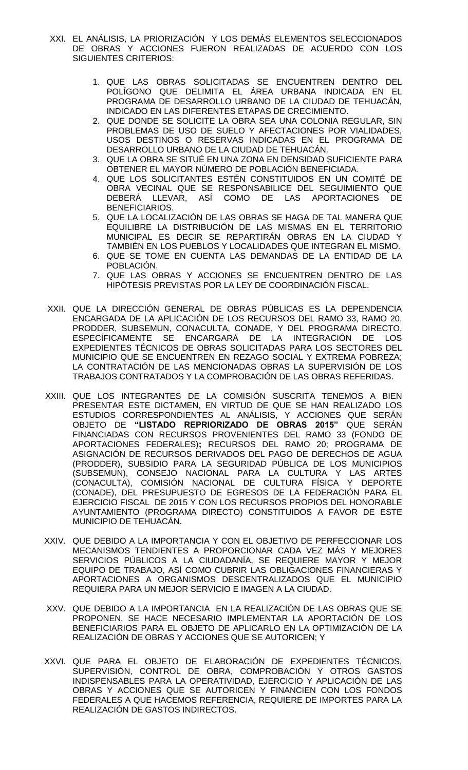- XXI. EL ANÁLISIS, LA PRIORIZACIÓN Y LOS DEMÁS ELEMENTOS SELECCIONADOS DE OBRAS Y ACCIONES FUERON REALIZADAS DE ACUERDO CON LOS SIGUIENTES CRITERIOS:
	- 1. QUE LAS OBRAS SOLICITADAS SE ENCUENTREN DENTRO DEL POLÍGONO QUE DELIMITA EL ÁREA URBANA INDICADA EN EL PROGRAMA DE DESARROLLO URBANO DE LA CIUDAD DE TEHUACÁN, INDICADO EN LAS DIFERENTES ETAPAS DE CRECIMIENTO.
	- 2. QUE DONDE SE SOLICITE LA OBRA SEA UNA COLONIA REGULAR, SIN PROBLEMAS DE USO DE SUELO Y AFECTACIONES POR VIALIDADES, USOS DESTINOS O RESERVAS INDICADAS EN EL PROGRAMA DE DESARROLLO URBANO DE LA CIUDAD DE TEHUACÁN.
	- 3. QUE LA OBRA SE SITUÉ EN UNA ZONA EN DENSIDAD SUFICIENTE PARA OBTENER EL MAYOR NÚMERO DE POBLACIÓN BENEFICIADA.
	- 4. QUE LOS SOLICITANTES ESTÉN CONSTITUIDOS EN UN COMITÉ DE OBRA VECINAL QUE SE RESPONSABILICE DEL SEGUIMIENTO QUE DEBERÁ LLEVAR, ASÍ COMO DE LAS APORTACIONES DE BENEFICIARIOS.
	- 5. QUE LA LOCALIZACIÓN DE LAS OBRAS SE HAGA DE TAL MANERA QUE EQUILIBRE LA DISTRIBUCIÓN DE LAS MISMAS EN EL TERRITORIO MUNICIPAL ES DECIR SE REPARTIRÁN OBRAS EN LA CIUDAD Y TAMBIÉN EN LOS PUEBLOS Y LOCALIDADES QUE INTEGRAN EL MISMO.
	- 6. QUE SE TOME EN CUENTA LAS DEMANDAS DE LA ENTIDAD DE LA POBLACIÓN.
	- 7. QUE LAS OBRAS Y ACCIONES SE ENCUENTREN DENTRO DE LAS HIPÓTESIS PREVISTAS POR LA LEY DE COORDINACIÓN FISCAL.
- XXII. QUE LA DIRECCIÓN GENERAL DE OBRAS PÚBLICAS ES LA DEPENDENCIA ENCARGADA DE LA APLICACIÓN DE LOS RECURSOS DEL RAMO 33, RAMO 20, PRODDER, SUBSEMUN, CONACULTA, CONADE, Y DEL PROGRAMA DIRECTO, ESPECÍFICAMENTE SE ENCARGARÁ DE LA INTEGRACIÓN DE LOS EXPEDIENTES TÉCNICOS DE OBRAS SOLICITADAS PARA LOS SECTORES DEL MUNICIPIO QUE SE ENCUENTREN EN REZAGO SOCIAL Y EXTREMA POBREZA; LA CONTRATACIÓN DE LAS MENCIONADAS OBRAS LA SUPERVISIÓN DE LOS TRABAJOS CONTRATADOS Y LA COMPROBACIÓN DE LAS OBRAS REFERIDAS.
- XXIII. QUE LOS INTEGRANTES DE LA COMISIÓN SUSCRITA TENEMOS A BIEN PRESENTAR ESTE DICTAMEN, EN VIRTUD DE QUE SE HAN REALIZADO LOS ESTUDIOS CORRESPONDIENTES AL ANÁLISIS, Y ACCIONES QUE SERÁN OBJETO DE **"LISTADO REPRIORIZADO DE OBRAS 2015"** QUE SERÁN FINANCIADAS CON RECURSOS PROVENIENTES DEL RAMO 33 (FONDO DE APORTACIONES FEDERALES)**;** RECURSOS DEL RAMO 20; PROGRAMA DE ASIGNACIÓN DE RECURSOS DERIVADOS DEL PAGO DE DERECHOS DE AGUA (PRODDER), SUBSIDIO PARA LA SEGURIDAD PÚBLICA DE LOS MUNICIPIOS (SUBSEMUN), CONSEJO NACIONAL PARA LA CULTURA Y LAS ARTES (CONACULTA), COMISIÓN NACIONAL DE CULTURA FÍSICA Y DEPORTE (CONADE), DEL PRESUPUESTO DE EGRESOS DE LA FEDERACIÓN PARA EL EJERCICIO FISCAL DE 2015 Y CON LOS RECURSOS PROPIOS DEL HONORABLE AYUNTAMIENTO (PROGRAMA DIRECTO) CONSTITUIDOS A FAVOR DE ESTE MUNICIPIO DE TEHUACÁN.
- XXIV. QUE DEBIDO A LA IMPORTANCIA Y CON EL OBJETIVO DE PERFECCIONAR LOS MECANISMOS TENDIENTES A PROPORCIONAR CADA VEZ MÁS Y MEJORES SERVICIOS PÚBLICOS A LA CIUDADANÍA, SE REQUIERE MAYOR Y MEJOR EQUIPO DE TRABAJO, ASÍ COMO CUBRIR LAS OBLIGACIONES FINANCIERAS Y APORTACIONES A ORGANISMOS DESCENTRALIZADOS QUE EL MUNICIPIO REQUIERA PARA UN MEJOR SERVICIO E IMAGEN A LA CIUDAD.
- XXV. QUE DEBIDO A LA IMPORTANCIA EN LA REALIZACIÓN DE LAS OBRAS QUE SE PROPONEN, SE HACE NECESARIO IMPLEMENTAR LA APORTACIÓN DE LOS BENEFICIARIOS PARA EL OBJETO DE APLICARLO EN LA OPTIMIZACIÓN DE LA REALIZACIÓN DE OBRAS Y ACCIONES QUE SE AUTORICEN; Y
- XXVI. QUE PARA EL OBJETO DE ELABORACIÓN DE EXPEDIENTES TÉCNICOS, SUPERVISIÓN, CONTROL DE OBRA, COMPROBACIÓN Y OTROS GASTOS INDISPENSABLES PARA LA OPERATIVIDAD, EJERCICIO Y APLICACIÓN DE LAS OBRAS Y ACCIONES QUE SE AUTORICEN Y FINANCIEN CON LOS FONDOS FEDERALES A QUE HACEMOS REFERENCIA, REQUIERE DE IMPORTES PARA LA REALIZACIÓN DE GASTOS INDIRECTOS.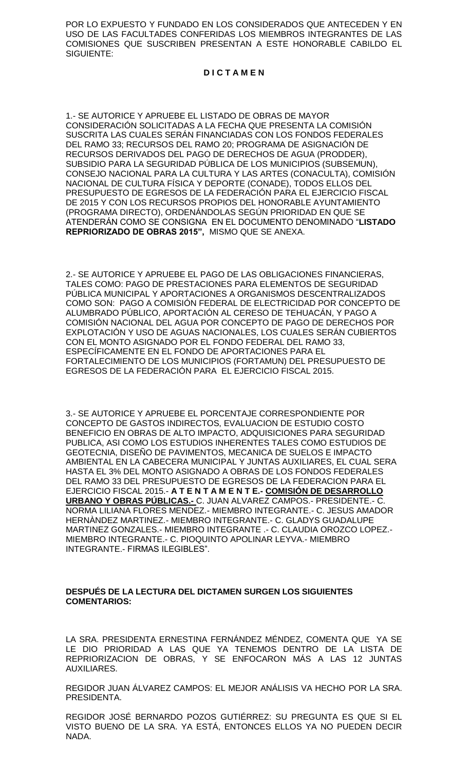POR LO EXPUESTO Y FUNDADO EN LOS CONSIDERADOS QUE ANTECEDEN Y EN USO DE LAS FACULTADES CONFERIDAS LOS MIEMBROS INTEGRANTES DE LAS COMISIONES QUE SUSCRIBEN PRESENTAN A ESTE HONORABLE CABILDO EL SIGUIENTE:

## **D I C T A M E N**

1.- SE AUTORICE Y APRUEBE EL LISTADO DE OBRAS DE MAYOR CONSIDERACIÓN SOLICITADAS A LA FECHA QUE PRESENTA LA COMISIÓN SUSCRITA LAS CUALES SERÁN FINANCIADAS CON LOS FONDOS FEDERALES DEL RAMO 33; RECURSOS DEL RAMO 20; PROGRAMA DE ASIGNACIÓN DE RECURSOS DERIVADOS DEL PAGO DE DERECHOS DE AGUA (PRODDER), SUBSIDIO PARA LA SEGURIDAD PÚBLICA DE LOS MUNICIPIOS (SUBSEMUN), CONSEJO NACIONAL PARA LA CULTURA Y LAS ARTES (CONACULTA), COMISIÓN NACIONAL DE CULTURA FÍSICA Y DEPORTE (CONADE), TODOS ELLOS DEL PRESUPUESTO DE EGRESOS DE LA FEDERACIÓN PARA EL EJERCICIO FISCAL DE 2015 Y CON LOS RECURSOS PROPIOS DEL HONORABLE AYUNTAMIENTO (PROGRAMA DIRECTO), ORDENÁNDOLAS SEGÚN PRIORIDAD EN QUE SE ATENDERÁN COMO SE CONSIGNA EN EL DOCUMENTO DENOMINADO "**LISTADO REPRIORIZADO DE OBRAS 2015",** MISMO QUE SE ANEXA.

2.- SE AUTORICE Y APRUEBE EL PAGO DE LAS OBLIGACIONES FINANCIERAS, TALES COMO: PAGO DE PRESTACIONES PARA ELEMENTOS DE SEGURIDAD PÚBLICA MUNICIPAL Y APORTACIONES A ORGANISMOS DESCENTRALIZADOS COMO SON: PAGO A COMISIÓN FEDERAL DE ELECTRICIDAD POR CONCEPTO DE ALUMBRADO PÚBLICO, APORTACIÓN AL CERESO DE TEHUACÁN, Y PAGO A COMISIÓN NACIONAL DEL AGUA POR CONCEPTO DE PAGO DE DERECHOS POR EXPLOTACIÓN Y USO DE AGUAS NACIONALES, LOS CUALES SERÁN CUBIERTOS CON EL MONTO ASIGNADO POR EL FONDO FEDERAL DEL RAMO 33, ESPECÍFICAMENTE EN EL FONDO DE APORTACIONES PARA EL FORTALECIMIENTO DE LOS MUNICIPIOS (FORTAMUN) DEL PRESUPUESTO DE EGRESOS DE LA FEDERACIÓN PARA EL EJERCICIO FISCAL 2015.

3.- SE AUTORICE Y APRUEBE EL PORCENTAJE CORRESPONDIENTE POR CONCEPTO DE GASTOS INDIRECTOS, EVALUACION DE ESTUDIO COSTO BENEFICIO EN OBRAS DE ALTO IMPACTO, ADQUISICIONES PARA SEGURIDAD PUBLICA, ASI COMO LOS ESTUDIOS INHERENTES TALES COMO ESTUDIOS DE GEOTECNIA, DISEÑO DE PAVIMENTOS, MECANICA DE SUELOS E IMPACTO AMBIENTAL EN LA CABECERA MUNICIPAL Y JUNTAS AUXILIARES, EL CUAL SERA HASTA EL 3% DEL MONTO ASIGNADO A OBRAS DE LOS FONDOS FEDERALES DEL RAMO 33 DEL PRESUPUESTO DE EGRESOS DE LA FEDERACION PARA EL EJERCICIO FISCAL 2015.- **A T E N T A M E N T E.- COMISIÓN DE DESARROLLO URBANO Y OBRAS PÚBLICAS.-** C. JUAN ALVAREZ CAMPOS.- PRESIDENTE.- C. NORMA LILIANA FLORES MENDEZ.- MIEMBRO INTEGRANTE.- C. JESUS AMADOR HERNÀNDEZ MARTINEZ.- MIEMBRO INTEGRANTE.- C. GLADYS GUADALUPE MARTINEZ GONZALES.- MIEMBRO INTEGRANTE .- C. CLAUDIA OROZCO LOPEZ.- MIEMBRO INTEGRANTE.- C. PIOQUINTO APOLINAR LEYVA.- MIEMBRO INTEGRANTE.- FIRMAS ILEGIBLES".

### **DESPUÉS DE LA LECTURA DEL DICTAMEN SURGEN LOS SIGUIENTES COMENTARIOS:**

LA SRA. PRESIDENTA ERNESTINA FERNÁNDEZ MÉNDEZ, COMENTA QUE YA SE LE DIO PRIORIDAD A LAS QUE YA TENEMOS DENTRO DE LA LISTA DE REPRIORIZACION DE OBRAS, Y SE ENFOCARON MÁS A LAS 12 JUNTAS AUXILIARES.

REGIDOR JUAN ÁLVAREZ CAMPOS: EL MEJOR ANÁLISIS VA HECHO POR LA SRA. PRESIDENTA.

REGIDOR JOSÉ BERNARDO POZOS GUTIÉRREZ: SU PREGUNTA ES QUE SI EL VISTO BUENO DE LA SRA. YA ESTÁ, ENTONCES ELLOS YA NO PUEDEN DECIR NADA.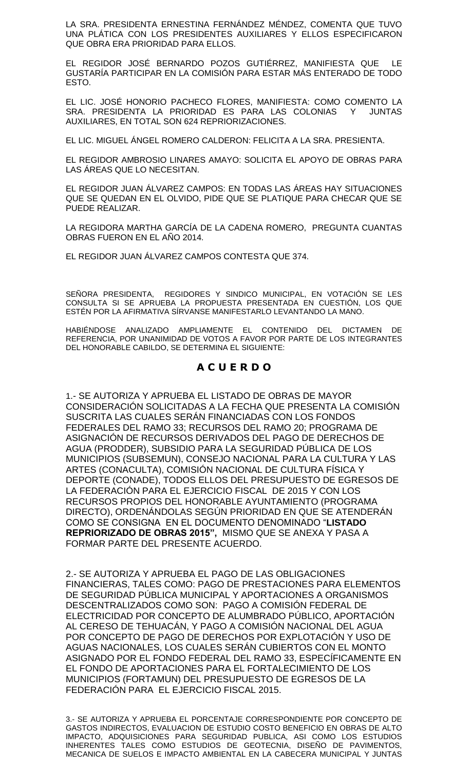LA SRA. PRESIDENTA ERNESTINA FERNÁNDEZ MÉNDEZ, COMENTA QUE TUVO UNA PLÁTICA CON LOS PRESIDENTES AUXILIARES Y ELLOS ESPECIFICARON QUE OBRA ERA PRIORIDAD PARA ELLOS.

EL REGIDOR JOSÉ BERNARDO POZOS GUTIÉRREZ, MANIFIESTA QUE LE GUSTARÍA PARTICIPAR EN LA COMISIÓN PARA ESTAR MÁS ENTERADO DE TODO ESTO.

EL LIC. JOSÉ HONORIO PACHECO FLORES, MANIFIESTA: COMO COMENTO LA SRA. PRESIDENTA LA PRIORIDAD ES PARA LAS COLONIAS Y JUNTAS AUXILIARES, EN TOTAL SON 624 REPRIORIZACIONES.

EL LIC. MIGUEL ÁNGEL ROMERO CALDERON: FELICITA A LA SRA. PRESIENTA.

EL REGIDOR AMBROSIO LINARES AMAYO: SOLICITA EL APOYO DE OBRAS PARA LAS ÁREAS QUE LO NECESITAN.

EL REGIDOR JUAN ÁLVAREZ CAMPOS: EN TODAS LAS ÁREAS HAY SITUACIONES QUE SE QUEDAN EN EL OLVIDO, PIDE QUE SE PLATIQUE PARA CHECAR QUE SE PUEDE REALIZAR.

LA REGIDORA MARTHA GARCÍA DE LA CADENA ROMERO, PREGUNTA CUANTAS OBRAS FUERON EN EL AÑO 2014.

EL REGIDOR JUAN ÁLVAREZ CAMPOS CONTESTA QUE 374.

SEÑORA PRESIDENTA, REGIDORES Y SINDICO MUNICIPAL, EN VOTACIÓN SE LES CONSULTA SI SE APRUEBA LA PROPUESTA PRESENTADA EN CUESTIÓN, LOS QUE ESTÉN POR LA AFIRMATIVA SÍRVANSE MANIFESTARLO LEVANTANDO LA MANO.

HABIÉNDOSE ANALIZADO AMPLIAMENTE EL CONTENIDO DEL DICTAMEN DE REFERENCIA, POR UNANIMIDAD DE VOTOS A FAVOR POR PARTE DE LOS INTEGRANTES DEL HONORABLE CABILDO, SE DETERMINA EL SIGUIENTE:

# **A C U E R D O**

1.- SE AUTORIZA Y APRUEBA EL LISTADO DE OBRAS DE MAYOR CONSIDERACIÓN SOLICITADAS A LA FECHA QUE PRESENTA LA COMISIÓN SUSCRITA LAS CUALES SERÁN FINANCIADAS CON LOS FONDOS FEDERALES DEL RAMO 33; RECURSOS DEL RAMO 20; PROGRAMA DE ASIGNACIÓN DE RECURSOS DERIVADOS DEL PAGO DE DERECHOS DE AGUA (PRODDER), SUBSIDIO PARA LA SEGURIDAD PÚBLICA DE LOS MUNICIPIOS (SUBSEMUN), CONSEJO NACIONAL PARA LA CULTURA Y LAS ARTES (CONACULTA), COMISIÓN NACIONAL DE CULTURA FÍSICA Y DEPORTE (CONADE), TODOS ELLOS DEL PRESUPUESTO DE EGRESOS DE LA FEDERACIÓN PARA EL EJERCICIO FISCAL DE 2015 Y CON LOS RECURSOS PROPIOS DEL HONORABLE AYUNTAMIENTO (PROGRAMA DIRECTO), ORDENÁNDOLAS SEGÚN PRIORIDAD EN QUE SE ATENDERÁN COMO SE CONSIGNA EN EL DOCUMENTO DENOMINADO "**LISTADO REPRIORIZADO DE OBRAS 2015",** MISMO QUE SE ANEXA Y PASA A FORMAR PARTE DEL PRESENTE ACUERDO.

2.- SE AUTORIZA Y APRUEBA EL PAGO DE LAS OBLIGACIONES FINANCIERAS, TALES COMO: PAGO DE PRESTACIONES PARA ELEMENTOS DE SEGURIDAD PÚBLICA MUNICIPAL Y APORTACIONES A ORGANISMOS DESCENTRALIZADOS COMO SON: PAGO A COMISIÓN FEDERAL DE ELECTRICIDAD POR CONCEPTO DE ALUMBRADO PÚBLICO, APORTACIÓN AL CERESO DE TEHUACÁN, Y PAGO A COMISIÓN NACIONAL DEL AGUA POR CONCEPTO DE PAGO DE DERECHOS POR EXPLOTACIÓN Y USO DE AGUAS NACIONALES, LOS CUALES SERÁN CUBIERTOS CON EL MONTO ASIGNADO POR EL FONDO FEDERAL DEL RAMO 33, ESPECÍFICAMENTE EN EL FONDO DE APORTACIONES PARA EL FORTALECIMIENTO DE LOS MUNICIPIOS (FORTAMUN) DEL PRESUPUESTO DE EGRESOS DE LA FEDERACIÓN PARA EL EJERCICIO FISCAL 2015.

3.- SE AUTORIZA Y APRUEBA EL PORCENTAJE CORRESPONDIENTE POR CONCEPTO DE GASTOS INDIRECTOS, EVALUACION DE ESTUDIO COSTO BENEFICIO EN OBRAS DE ALTO IMPACTO, ADQUISICIONES PARA SEGURIDAD PUBLICA, ASI COMO LOS ESTUDIOS INHERENTES TALES COMO ESTUDIOS DE GEOTECNIA, DISEÑO DE PAVIMENTOS, MECANICA DE SUELOS E IMPACTO AMBIENTAL EN LA CABECERA MUNICIPAL Y JUNTAS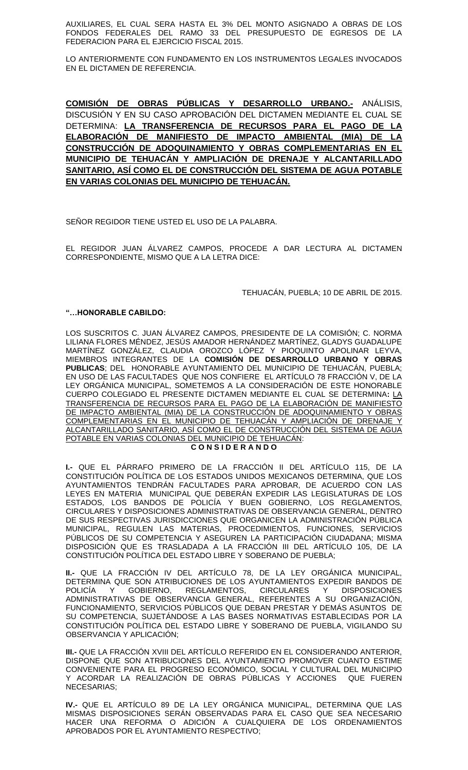AUXILIARES, EL CUAL SERA HASTA EL 3% DEL MONTO ASIGNADO A OBRAS DE LOS FONDOS FEDERALES DEL RAMO 33 DEL PRESUPUESTO DE EGRESOS DE LA FEDERACION PARA EL EJERCICIO FISCAL 2015.

LO ANTERIORMENTE CON FUNDAMENTO EN LOS INSTRUMENTOS LEGALES INVOCADOS EN EL DICTAMEN DE REFERENCIA.

**COMISIÓN DE OBRAS PÚBLICAS Y DESARROLLO URBANO.-** ANÁLISIS, DISCUSIÓN Y EN SU CASO APROBACIÓN DEL DICTAMEN MEDIANTE EL CUAL SE DETERMINA: **LA TRANSFERENCIA DE RECURSOS PARA EL PAGO DE LA ELABORACIÓN DE MANIFIESTO DE IMPACTO AMBIENTAL (MIA) DE LA CONSTRUCCIÓN DE ADOQUINAMIENTO Y OBRAS COMPLEMENTARIAS EN EL MUNICIPIO DE TEHUACÁN Y AMPLIACIÓN DE DRENAJE Y ALCANTARILLADO SANITARIO, ASÍ COMO EL DE CONSTRUCCIÓN DEL SISTEMA DE AGUA POTABLE EN VARIAS COLONIAS DEL MUNICIPIO DE TEHUACÁN.**

SEÑOR REGIDOR TIENE USTED EL USO DE LA PALABRA.

EL REGIDOR JUAN ÁLVAREZ CAMPOS, PROCEDE A DAR LECTURA AL DICTAMEN CORRESPONDIENTE, MISMO QUE A LA LETRA DICE:

#### TEHUACÁN, PUEBLA; 10 DE ABRIL DE 2015.

#### **"…HONORABLE CABILDO:**

LOS SUSCRITOS C. JUAN ÁLVAREZ CAMPOS, PRESIDENTE DE LA COMISIÓN; C. NORMA LILIANA FLORES MÉNDEZ, JESÚS AMADOR HERNÁNDEZ MARTÍNEZ, GLADYS GUADALUPE MARTÍNEZ GONZÁLEZ, CLAUDIA OROZCO LÓPEZ Y PIOQUINTO APOLINAR LEYVA, MIEMBROS INTEGRANTES DE LA **COMISIÓN DE DESARROLLO URBANO Y OBRAS PUBLICAS**; DEL HONORABLE AYUNTAMIENTO DEL MUNICIPIO DE TEHUACÁN, PUEBLA; EN USO DE LAS FACULTADES QUE NOS CONFIERE EL ARTÍCULO 78 FRACCIÓN V, DE LA LEY ORGÁNICA MUNICIPAL, SOMETEMOS A LA CONSIDERACIÓN DE ESTE HONORABLE CUERPO COLEGIADO EL PRESENTE DICTAMEN MEDIANTE EL CUAL SE DETERMINA**:** LA TRANSFERENCIA DE RECURSOS PARA EL PAGO DE LA ELABORACIÓN DE MANIFIESTO DE IMPACTO AMBIENTAL (MIA) DE LA CONSTRUCCIÓN DE ADOQUINAMIENTO Y OBRAS COMPLEMENTARIAS EN EL MUNICIPIO DE TEHUACÁN Y AMPLIACIÓN DE DRENAJE Y ALCANTARILLADO SANITARIO, ASÍ COMO EL DE CONSTRUCCIÓN DEL SISTEMA DE AGUA POTABLE EN VARIAS COLONIAS DEL MUNICIPIO DE TEHUACÁN:

#### **C O N S I D E R A N D O**

**I.-** QUE EL PÁRRAFO PRIMERO DE LA FRACCIÓN II DEL ARTÍCULO 115, DE LA CONSTITUCIÓN POLÍTICA DE LOS ESTADOS UNIDOS MEXICANOS DETERMINA, QUE LOS AYUNTAMIENTOS TENDRÁN FACULTADES PARA APROBAR, DE ACUERDO CON LAS LEYES EN MATERIA MUNICIPAL QUE DEBERÁN EXPEDIR LAS LEGISLATURAS DE LOS ESTADOS, LOS BANDOS DE POLICÍA Y BUEN GOBIERNO, LOS REGLAMENTOS, CIRCULARES Y DISPOSICIONES ADMINISTRATIVAS DE OBSERVANCIA GENERAL, DENTRO DE SUS RESPECTIVAS JURISDICCIONES QUE ORGANICEN LA ADMINISTRACIÓN PÚBLICA MUNICIPAL, REGULEN LAS MATERIAS, PROCEDIMIENTOS, FUNCIONES, SERVICIOS PÚBLICOS DE SU COMPETENCIA Y ASEGUREN LA PARTICIPACIÓN CIUDADANA; MISMA DISPOSICIÓN QUE ES TRASLADADA A LA FRACCIÓN III DEL ARTÍCULO 105, DE LA CONSTITUCIÓN POLÍTICA DEL ESTADO LIBRE Y SOBERANO DE PUEBLA;

**II.-** QUE LA FRACCIÓN IV DEL ARTÍCULO 78, DE LA LEY ORGÁNICA MUNICIPAL, DETERMINA QUE SON ATRIBUCIONES DE LOS AYUNTAMIENTOS EXPEDIR BANDOS DE<br>POLICÍA Y GOBIERNO, REGLAMENTOS, CIRCULARES Y DISPOSICIONES POLICÍA Y GOBIERNO, REGLAMENTOS, CIRCULARES Y DISPOSICIONES ADMINISTRATIVAS DE OBSERVANCIA GENERAL, REFERENTES A SU ORGANIZACIÓN, FUNCIONAMIENTO, SERVICIOS PÚBLICOS QUE DEBAN PRESTAR Y DEMÁS ASUNTOS DE SU COMPETENCIA, SUJETÁNDOSE A LAS BASES NORMATIVAS ESTABLECIDAS POR LA CONSTITUCIÓN POLÍTICA DEL ESTADO LIBRE Y SOBERANO DE PUEBLA, VIGILANDO SU OBSERVANCIA Y APLICACIÓN;

**III.-** QUE LA FRACCIÓN XVIII DEL ARTÍCULO REFERIDO EN EL CONSIDERANDO ANTERIOR, DISPONE QUE SON ATRIBUCIONES DEL AYUNTAMIENTO PROMOVER CUANTO ESTIME CONVENIENTE PARA EL PROGRESO ECONÓMICO, SOCIAL Y CULTURAL DEL MUNICIPIO Y ACORDAR LA REALIZACIÓN DE OBRAS PÚBLICAS Y ACCIONES QUE FUEREN NECESARIAS;

**IV.-** QUE EL ARTÍCULO 89 DE LA LEY ORGÁNICA MUNICIPAL, DETERMINA QUE LAS MISMAS DISPOSICIONES SERÁN OBSERVADAS PARA EL CASO QUE SEA NECESARIO HACER UNA REFORMA O ADICIÓN A CUALQUIERA DE LOS ORDENAMIENTOS APROBADOS POR EL AYUNTAMIENTO RESPECTIVO;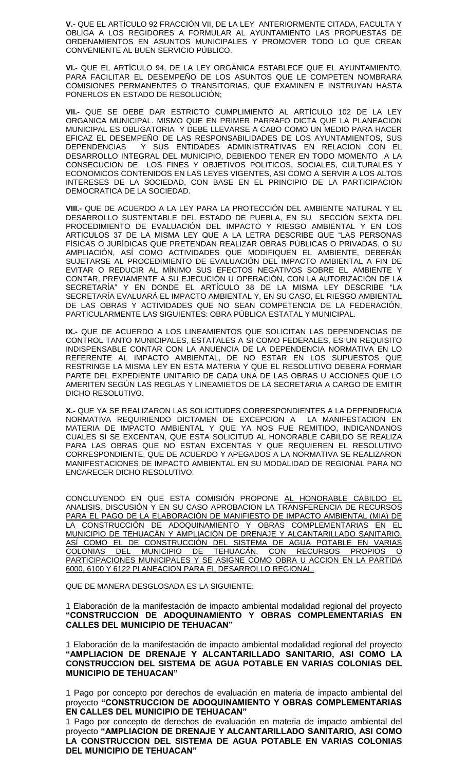**V.-** QUE EL ARTÍCULO 92 FRACCIÓN VII, DE LA LEY ANTERIORMENTE CITADA, FACULTA Y OBLIGA A LOS REGIDORES A FORMULAR AL AYUNTAMIENTO LAS PROPUESTAS DE ORDENAMIENTOS EN ASUNTOS MUNICIPALES Y PROMOVER TODO LO QUE CREAN CONVENIENTE AL BUEN SERVICIO PÚBLICO.

**VI.-** QUE EL ARTÍCULO 94, DE LA LEY ORGÁNICA ESTABLECE QUE EL AYUNTAMIENTO, PARA FACILITAR EL DESEMPEÑO DE LOS ASUNTOS QUE LE COMPETEN NOMBRARA COMISIONES PERMANENTES O TRANSITORIAS, QUE EXAMINEN E INSTRUYAN HASTA PONERLOS EN ESTADO DE RESOLUCIÓN;

**VII.-** QUE SE DEBE DAR ESTRICTO CUMPLIMIENTO AL ARTÍCULO 102 DE LA LEY ORGANICA MUNICIPAL. MISMO QUE EN PRIMER PARRAFO DICTA QUE LA PLANEACION MUNICIPAL ES OBLIGATORIA Y DEBE LLEVARSE A CABO COMO UN MEDIO PARA HACER EFICAZ EL DESEMPEÑO DE LAS RESPONSABILIDADES DE LOS AYUNTAMIENTOS, SUS DEPENDENCIAS Y SUS ENTIDADES ADMINISTRATIVAS EN RELACION CON EL DESARROLLO INTEGRAL DEL MUNICIPIO, DEBIENDO TENER EN TODO MOMENTO A LA CONSECUCION DE LOS FINES Y OBJETIVOS POLITICOS, SOCIALES, CULTURALES Y ECONOMICOS CONTENIDOS EN LAS LEYES VIGENTES, ASI COMO A SERVIR A LOS ALTOS INTERESES DE LA SOCIEDAD, CON BASE EN EL PRINCIPIO DE LA PARTICIPACION DEMOCRATICA DE LA SOCIEDAD.

**VIII.-** QUE DE ACUERDO A LA LEY PARA LA PROTECCIÓN DEL AMBIENTE NATURAL Y EL DESARROLLO SUSTENTABLE DEL ESTADO DE PUEBLA, EN SU SECCIÓN SEXTA DEL PROCEDIMIENTO DE EVALUACIÓN DEL IMPACTO Y RIESGO AMBIENTAL Y EN LOS ARTICULOS 37 DE LA MISMA LEY QUE A LA LETRA DESCRIBE QUE "LAS PERSONAS FÍSICAS O JURÍDICAS QUE PRETENDAN REALIZAR OBRAS PÚBLICAS O PRIVADAS, O SU AMPLIACIÓN, ASÍ COMO ACTIVIDADES QUE MODIFIQUEN EL AMBIENTE, DEBERÁN SUJETARSE AL PROCEDIMIENTO DE EVALUACIÓN DEL IMPACTO AMBIENTAL A FIN DE EVITAR O REDUCIR AL MÍNIMO SUS EFECTOS NEGATIVOS SOBRE EL AMBIENTE Y CONTAR, PREVIAMENTE A SU EJECUCIÓN U OPERACIÓN, CON LA AUTORIZACIÓN DE LA SECRETARÍA" Y EN DONDE EL ARTÍCULO 38 DE LA MISMA LEY DESCRIBE "LA SECRETARÍA EVALUARÁ EL IMPACTO AMBIENTAL Y, EN SU CASO, EL RIESGO AMBIENTAL DE LAS OBRAS Y ACTIVIDADES QUE NO SEAN COMPETENCIA DE LA FEDERACIÓN, PARTICULARMENTE LAS SIGUIENTES: OBRA PÚBLICA ESTATAL Y MUNICIPAL.

**IX.-** QUE DE ACUERDO A LOS LINEAMIENTOS QUE SOLICITAN LAS DEPENDENCIAS DE CONTROL TANTO MUNICIPALES, ESTATALES A SI COMO FEDERALES, ES UN REQUISITO INDISPENSABLE CONTAR CON LA ANUENCIA DE LA DEPENDENCIA NORMATIVA EN LO REFERENTE AL IMPACTO AMBIENTAL, DE NO ESTAR EN LOS SUPUESTOS QUE RESTRINGE LA MISMA LEY EN ESTA MATERIA Y QUE EL RESOLUTIVO DEBERA FORMAR PARTE DEL EXPEDIENTE UNITARIO DE CADA UNA DE LAS OBRAS U ACCIONES QUE LO AMERITEN SEGÚN LAS REGLAS Y LINEAMIETOS DE LA SECRETARIA A CARGO DE EMITIR DICHO RESOLUTIVO.

**X.-** QUE YA SE REALIZARON LAS SOLICITUDES CORRESPONDIENTES A LA DEPENDENCIA NORMATIVA REQUIRIENDO DICTAMEN DE EXCEPCION A LA MANIFESTACION EN MATERIA DE IMPACTO AMBIENTAL Y QUE YA NOS FUE REMITIDO, INDICANDANOS CUALES SI SE EXCENTAN, QUE ESTA SOLICITUD AL HONORABLE CABILDO SE REALIZA PARA LAS OBRAS QUE NO ESTAN EXCENTAS Y QUE REQUIEREN EL RESOLUTIVO CORRESPONDIENTE, QUE DE ACUERDO Y APEGADOS A LA NORMATIVA SE REALIZARON MANIFESTACIONES DE IMPACTO AMBIENTAL EN SU MODALIDAD DE REGIONAL PARA NO ENCARECER DICHO RESOLUTIVO.

CONCLUYENDO EN QUE ESTA COMISIÓN PROPONE AL HONORABLE CABILDO EL ANALISIS, DISCUSIÓN Y EN SU CASO APROBACION LA TRANSFERENCIA DE RECURSOS PARA EL PAGO DE LA ELABORACIÓN DE MANIFIESTO DE IMPACTO AMBIENTAL (MIA) DE LA CONSTRUCCIÓN DE ADOQUINAMIENTO Y OBRAS COMPLEMENTARIAS EN EL MUNICIPIO DE TEHUACÁN Y AMPLIACIÓN DE DRENAJE Y ALCANTARILLADO SANITARIO, ASÍ COMO EL DE CONSTRUCCIÓN DEL SISTEMA DE AGUA POTABLE EN VARIAS COLONIAS DEL MUNICIPIO DE TEHUACÁN, CON RECURSOS PROPIOS O PARTICIPACIONES MUNICIPALES Y SE ASIGNE COMO OBRA U ACCION EN LA PARTIDA 6000, 6100 Y 6122 PLANEACION PARA EL DESARROLLO REGIONAL.

QUE DE MANERA DESGLOSADA ES LA SIGUIENTE:

1 Elaboración de la manifestación de impacto ambiental modalidad regional del proyecto **"CONSTRUCCION DE ADOQUINAMIENTO Y OBRAS COMPLEMENTARIAS EN CALLES DEL MUNICIPIO DE TEHUACAN"** 

1 Elaboración de la manifestación de impacto ambiental modalidad regional del proyecto **"AMPLIACION DE DRENAJE Y ALCANTARILLADO SANITARIO, ASI COMO LA CONSTRUCCION DEL SISTEMA DE AGUA POTABLE EN VARIAS COLONIAS DEL MUNICIPIO DE TEHUACAN"** 

1 Pago por concepto por derechos de evaluación en materia de impacto ambiental del proyecto **"CONSTRUCCION DE ADOQUINAMIENTO Y OBRAS COMPLEMENTARIAS EN CALLES DEL MUNICIPIO DE TEHUACAN"** 

1 Pago por concepto de derechos de evaluación en materia de impacto ambiental del proyecto **"AMPLIACION DE DRENAJE Y ALCANTARILLADO SANITARIO, ASI COMO LA CONSTRUCCION DEL SISTEMA DE AGUA POTABLE EN VARIAS COLONIAS DEL MUNICIPIO DE TEHUACAN"**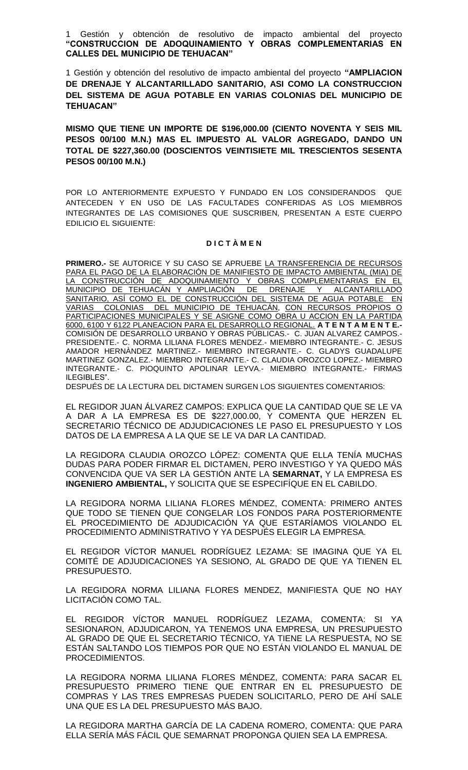1 Gestión y obtención de resolutivo de impacto ambiental del proyecto **"CONSTRUCCION DE ADOQUINAMIENTO Y OBRAS COMPLEMENTARIAS EN CALLES DEL MUNICIPIO DE TEHUACAN"** 

1 Gestión y obtención del resolutivo de impacto ambiental del proyecto **"AMPLIACION DE DRENAJE Y ALCANTARILLADO SANITARIO, ASI COMO LA CONSTRUCCION DEL SISTEMA DE AGUA POTABLE EN VARIAS COLONIAS DEL MUNICIPIO DE TEHUACAN"** 

**MISMO QUE TIENE UN IMPORTE DE \$196,000.00 (CIENTO NOVENTA Y SEIS MIL PESOS 00/100 M.N.) MAS EL IMPUESTO AL VALOR AGREGADO, DANDO UN TOTAL DE \$227,360.00 (DOSCIENTOS VEINTISIETE MIL TRESCIENTOS SESENTA PESOS 00/100 M.N.)**

POR LO ANTERIORMENTE EXPUESTO Y FUNDADO EN LOS CONSIDERANDOS QUE ANTECEDEN Y EN USO DE LAS FACULTADES CONFERIDAS AS LOS MIEMBROS INTEGRANTES DE LAS COMISIONES QUE SUSCRIBEN, PRESENTAN A ESTE CUERPO EDILICIO EL SIGUIENTE:

#### **D I C T À M E N**

**PRIMERO.-** SE AUTORICE Y SU CASO SE APRUEBE LA TRANSFERENCIA DE RECURSOS PARA EL PAGO DE LA ELABORACIÓN DE MANIFIESTO DE IMPACTO AMBIENTAL (MIA) DE LA CONSTRUCCIÓN DE ADOQUINAMIENTO Y OBRAS COMPLEMENTARIAS EN EL MUNICIPIO DE TEHUACÁN Y AMPLIACIÓN DE DRENAJE Y ALCANTARILLADO SANITARIO, ASÍ COMO EL DE CONSTRUCCIÓN DEL SISTEMA DE AGUA POTABLE EN VARIAS COLONIAS DEL MUNICIPIO DE TEHUACÁN, CON RECURSOS PROPIOS O PARTICIPACIONES MUNICIPALES Y SE ASIGNE COMO OBRA U ACCION EN LA PARTIDA 6000, 6100 Y 6122 PLANEACION PARA EL DESARROLLO REGIONAL. **A T E N T A M E N T E.-** COMISIÓN DE DESARROLLO URBANO Y OBRAS PÚBLICAS.- C. JUAN ALVAREZ CAMPOS.- PRESIDENTE.- C. NORMA LILIANA FLORES MENDEZ.- MIEMBRO INTEGRANTE.- C. JESUS AMADOR HERNÀNDEZ MARTINEZ.- MIEMBRO INTEGRANTE.- C. GLADYS GUADALUPE MARTINEZ GONZALEZ.- MIEMBRO INTEGRANTE.- C. CLAUDIA OROZCO LOPEZ.- MIEMBRO INTEGRANTE.- C. PIOQUINTO APOLINAR LEYVA.- MIEMBRO INTEGRANTE.- FIRMAS ILEGIBLES".

DESPUÉS DE LA LECTURA DEL DICTAMEN SURGEN LOS SIGUIENTES COMENTARIOS:

EL REGIDOR JUAN ÁLVAREZ CAMPOS: EXPLICA QUE LA CANTIDAD QUE SE LE VA A DAR A LA EMPRESA ES DE \$227,000.00, Y COMENTA QUE HERZEN EL SECRETARIO TÉCNICO DE ADJUDICACIONES LE PASO EL PRESUPUESTO Y LOS DATOS DE LA EMPRESA A LA QUE SE LE VA DAR LA CANTIDAD.

LA REGIDORA CLAUDIA OROZCO LÓPEZ: COMENTA QUE ELLA TENÍA MUCHAS DUDAS PARA PODER FIRMAR EL DICTAMEN, PERO INVESTIGO Y YA QUEDO MÁS CONVENCIDA QUE VA SER LA GESTIÓN ANTE LA **SEMARNAT,** Y LA EMPRESA ES **INGENIERO AMBIENTAL,** Y SOLICITA QUE SE ESPECIFÍQUE EN EL CABILDO.

LA REGIDORA NORMA LILIANA FLORES MÉNDEZ, COMENTA: PRIMERO ANTES QUE TODO SE TIENEN QUE CONGELAR LOS FONDOS PARA POSTERIORMENTE EL PROCEDIMIENTO DE ADJUDICACIÓN YA QUE ESTARÍAMOS VIOLANDO EL PROCEDIMIENTO ADMINISTRATIVO Y YA DESPUÉS ELEGIR LA EMPRESA.

EL REGIDOR VÍCTOR MANUEL RODRÍGUEZ LEZAMA: SE IMAGINA QUE YA EL COMITÉ DE ADJUDICACIONES YA SESIONO, AL GRADO DE QUE YA TIENEN EL PRESUPUESTO.

LA REGIDORA NORMA LILIANA FLORES MENDEZ, MANIFIESTA QUE NO HAY LICITACIÓN COMO TAL.

EL REGIDOR VÍCTOR MANUEL RODRÍGUEZ LEZAMA, COMENTA: SI YA SESIONARON, ADJUDICARON, YA TENEMOS UNA EMPRESA, UN PRESUPUESTO AL GRADO DE QUE EL SECRETARIO TÉCNICO, YA TIENE LA RESPUESTA, NO SE ESTÁN SALTANDO LOS TIEMPOS POR QUE NO ESTÁN VIOLANDO EL MANUAL DE PROCEDIMIENTOS.

LA REGIDORA NORMA LILIANA FLORES MÉNDEZ, COMENTA: PARA SACAR EL PRESUPUESTO PRIMERO TIENE QUE ENTRAR EN EL PRESUPUESTO DE COMPRAS Y LAS TRES EMPRESAS PUEDEN SOLICITARLO, PERO DE AHÍ SALE UNA QUE ES LA DEL PRESUPUESTO MÁS BAJO.

LA REGIDORA MARTHA GARCÍA DE LA CADENA ROMERO, COMENTA: QUE PARA ELLA SERÍA MÁS FÁCIL QUE SEMARNAT PROPONGA QUIEN SEA LA EMPRESA.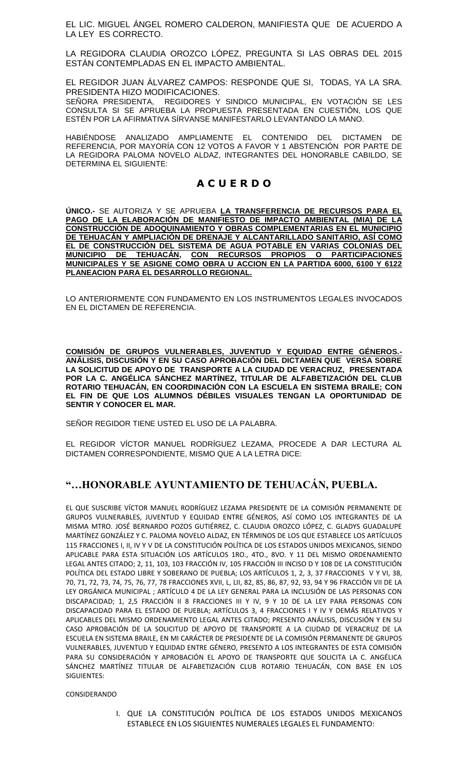EL LIC. MIGUEL ÁNGEL ROMERO CALDERON, MANIFIESTA QUE DE ACUERDO A LA LEY ES CORRECTO.

LA REGIDORA CLAUDIA OROZCO LÓPEZ, PREGUNTA SI LAS OBRAS DEL 2015 ESTÁN CONTEMPLADAS EN EL IMPACTO AMBIENTAL.

EL REGIDOR JUAN ÁLVAREZ CAMPOS: RESPONDE QUE SI, TODAS, YA LA SRA. PRESIDENTA HIZO MODIFICACIONES.

SEÑORA PRESIDENTA, REGIDORES Y SINDICO MUNICIPAL, EN VOTACIÓN SE LES CONSULTA SI SE APRUEBA LA PROPUESTA PRESENTADA EN CUESTIÓN, LOS QUE ESTÉN POR LA AFIRMATIVA SÍRVANSE MANIFESTARLO LEVANTANDO LA MANO.

HABIÉNDOSE ANALIZADO AMPLIAMENTE EL CONTENIDO DEL DICTAMEN DE REFERENCIA, POR MAYORÍA CON 12 VOTOS A FAVOR Y 1 ABSTENCIÓN POR PARTE DE LA REGIDORA PALOMA NOVELO ALDAZ, INTEGRANTES DEL HONORABLE CABILDO, SE DETERMINA EL SIGUIENTE:

# **A C U E R D O**

**ÚNICO.-** SE AUTORIZA Y SE APRUEBA **LA TRANSFERENCIA DE RECURSOS PARA EL PAGO DE LA ELABORACIÓN DE MANIFIESTO DE IMPACTO AMBIENTAL (MIA) DE LA CONSTRUCCIÓN DE ADOQUINAMIENTO Y OBRAS COMPLEMENTARIAS EN EL MUNICIPIO DE TEHUACÁN Y AMPLIACIÓN DE DRENAJE Y ALCANTARILLADO SANITARIO, ASÍ COMO EL DE CONSTRUCCIÓN DEL SISTEMA DE AGUA POTABLE EN VARIAS COLONIAS DEL MUNICIPIO DE TEHUACÁN, CON RECURSOS PROPIOS O PARTICIPACIONES MUNICIPALES Y SE ASIGNE COMO OBRA U ACCION EN LA PARTIDA 6000, 6100 Y 6122 PLANEACION PARA EL DESARROLLO REGIONAL.**

LO ANTERIORMENTE CON FUNDAMENTO EN LOS INSTRUMENTOS LEGALES INVOCADOS EN EL DICTAMEN DE REFERENCIA.

**COMISIÓN DE GRUPOS VULNERABLES, JUVENTUD Y EQUIDAD ENTRE GÉNEROS.- ANÁLISIS, DISCUSIÓN Y EN SU CASO APROBACIÓN DEL DICTAMEN QUE VERSA SOBRE LA SOLICITUD DE APOYO DE TRANSPORTE A LA CIUDAD DE VERACRUZ, PRESENTADA POR LA C. ANGÉLICA SÁNCHEZ MARTÍNEZ, TITULAR DE ALFABETIZACIÓN DEL CLUB ROTARIO TEHUACÁN, EN COORDINACIÓN CON LA ESCUELA EN SISTEMA BRAILE; CON EL FIN DE QUE LOS ALUMNOS DÉBILES VISUALES TENGAN LA OPORTUNIDAD DE SENTIR Y CONOCER EL MAR.**

SEÑOR REGIDOR TIENE USTED EL USO DE LA PALABRA.

EL REGIDOR VÍCTOR MANUEL RODRÍGUEZ LEZAMA, PROCEDE A DAR LECTURA AL DICTAMEN CORRESPONDIENTE, MISMO QUE A LA LETRA DICE:

# **"…HONORABLE AYUNTAMIENTO DE TEHUACÁN, PUEBLA.**

EL QUE SUSCRIBE VÍCTOR MANUEL RODRÍGUEZ LEZAMA PRESIDENTE DE LA COMISIÓN PERMANENTE DE GRUPOS VULNERABLES, JUVENTUD Y EQUIDAD ENTRE GÉNEROS, ASÍ COMO LOS INTEGRANTES DE LA MISMA MTRO. JOSÉ BERNARDO POZOS GUTIÉRREZ, C. CLAUDIA OROZCO LÓPEZ, C. GLADYS GUADALUPE MARTÍNEZ GONZÁLEZ Y C. PALOMA NOVELO ALDAZ, EN TÉRMINOS DE LOS QUE ESTABLECE LOS ARTÍCULOS 115 FRACCIONES I, II, IV Y V DE LA CONSTITUCIÓN POLÍTICA DE LOS ESTADOS UNIDOS MEXICANOS, SIENDO APLICABLE PARA ESTA SITUACIÓN LOS ARTÍCULOS 1RO., 4TO., 8VO. Y 11 DEL MISMO ORDENAMIENTO LEGAL ANTES CITADO; 2, 11, 103, 103 FRACCIÓN IV, 105 FRACCIÓN III INCISO D Y 108 DE LA CONSTITUCIÓN POLÍTICA DEL ESTADO LIBRE Y SOBERANO DE PUEBLA; LOS ARTÍCULOS 1, 2, 3, 37 FRACCIONES V Y VI, 38, 70, 71, 72, 73, 74, 75, 76, 77, 78 FRACCIONES XVII, L, LII, 82, 85, 86, 87, 92, 93, 94 Y 96 FRACCIÓN VII DE LA LEY ORGÁNICA MUNICIPAL ; ARTÍCULO 4 DE LA LEY GENERAL PARA LA INCLUSIÓN DE LAS PERSONAS CON DISCAPACIDAD; 1, 2,5 FRACCIÓN II 8 FRACCIONES III Y IV, 9 Y 10 DE LA LEY PARA PERSONAS CON DISCAPACIDAD PARA EL ESTADO DE PUEBLA; ARTÍCULOS 3, 4 FRACCIONES I Y IV Y DEMÁS RELATIVOS Y APLICABLES DEL MISMO ORDENAMIENTO LEGAL ANTES CITADO; PRESENTO ANÁLISIS, DISCUSIÓN Y EN SU CASO APROBACIÓN DE LA SOLICITUD DE APOYO DE TRANSPORTE A LA CIUDAD DE VERACRUZ DE LA ESCUELA EN SISTEMA BRAILE, EN MI CARÁCTER DE PRESIDENTE DE LA COMISIÓN PERMANENTE DE GRUPOS VULNERABLES, JUVENTUD Y EQUIDAD ENTRE GÉNERO, PRESENTO A LOS INTEGRANTES DE ESTA COMISIÓN PARA SU CONSIDERACIÓN Y APROBACIÓN EL APOYO DE TRANSPORTE QUE SOLICITA LA C. ANGÉLICA SÁNCHEZ MARTÍNEZ TITULAR DE ALFABETIZACIÓN CLUB ROTARIO TEHUACÁN, CON BASE EN LOS SIGUIENTES:

#### **CONSIDERANDO**

I. QUE LA CONSTITUCIÓN POLÍTICA DE LOS ESTADOS UNIDOS MEXICANOS ESTABLECE EN LOS SIGUIENTES NUMERALES LEGALES EL FUNDAMENTO: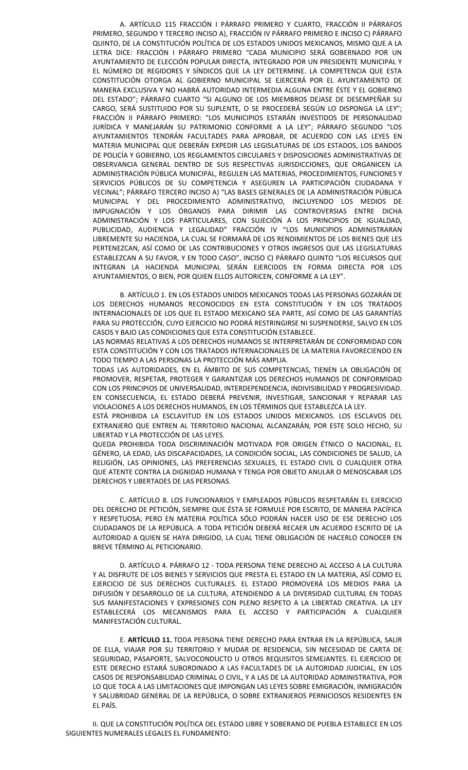A. ARTÍCULO 115 FRACCIÓN I PÁRRAFO PRIMERO Y CUARTO, FRACCIÓN II PÁRRAFOS PRIMERO, SEGUNDO Y TERCERO INCISO A), FRACCIÓN IV PÁRRAFO PRIMERO E INCISO C) PÁRRAFO QUINTO, DE LA CONSTITUCIÓN POLÍTICA DE LOS ESTADOS UNIDOS MEXICANOS, MISMO QUE A LA LETRA DICE: FRACCIÓN I PÁRRAFO PRIMERO "CADA MUNICIPIO SERÁ GOBERNADO POR UN AYUNTAMIENTO DE ELECCIÓN POPULAR DIRECTA, INTEGRADO POR UN PRESIDENTE MUNICIPAL Y EL NÚMERO DE REGIDORES Y SÍNDICOS QUE LA LEY DETERMINE. LA COMPETENCIA QUE ESTA CONSTITUCIÓN OTORGA AL GOBIERNO MUNICIPAL SE EJERCERÁ POR EL AYUNTAMIENTO DE MANERA EXCLUSIVA Y NO HABRÁ AUTORIDAD INTERMEDIA ALGUNA ENTRE ÉSTE Y EL GOBIERNO DEL ESTADO"; PÁRRAFO CUARTO "SI ALGUNO DE LOS MIEMBROS DEJASE DE DESEMPEÑAR SU CARGO, SERÁ SUSTITUIDO POR SU SUPLENTE, O SE PROCEDERÁ SEGÚN LO DISPONGA LA LEY"; FRACCIÓN II PÁRRAFO PRIMERO: "LOS MUNICIPIOS ESTARÁN INVESTIDOS DE PERSONALIDAD JURÍDICA Y MANEJARÁN SU PATRIMONIO CONFORME A LA LEY"; PÁRRAFO SEGUNDO "LOS AYUNTAMIENTOS TENDRÁN FACULTADES PARA APROBAR, DE ACUERDO CON LAS LEYES EN MATERIA MUNICIPAL QUE DEBERÁN EXPEDIR LAS LEGISLATURAS DE LOS ESTADOS, LOS BANDOS DE POLICÍA Y GOBIERNO, LOS REGLAMENTOS CIRCULARES Y DISPOSICIONES ADMINISTRATIVAS DE OBSERVANCIA GENERAL DENTRO DE SUS RESPECTIVAS JURISDICCIONES, QUE ORGANICEN LA ADMINISTRACIÓN PÚBLICA MUNICIPAL, REGULEN LAS MATERIAS, PROCEDIMIENTOS, FUNCIONES Y SERVICIOS PÚBLICOS DE SU COMPETENCIA Y ASEGUREN LA PARTICIPACIÓN CIUDADANA Y VECINAL"; PÁRRAFO TERCERO INCISO A) "LAS BASES GENERALES DE LA ADMINISTRACIÓN PÚBLICA MUNICIPAL Y DEL PROCEDIMIENTO ADMINISTRATIVO, INCLUYENDO LOS MEDIOS DE IMPUGNACIÓN Y LOS ÓRGANOS PARA DIRIMIR LAS CONTROVERSIAS ENTRE DICHA ADMINISTRACIÓN Y LOS PARTICULARES, CON SUJECIÓN A LOS PRINCIPIOS DE IGUALDAD, PUBLICIDAD, AUDIENCIA Y LEGALIDAD" FRACCIÓN IV "LOS MUNICIPIOS ADMINISTRARAN LIBREMENTE SU HACIENDA, LA CUAL SE FORMARÁ DE LOS RENDIMIENTOS DE LOS BIENES QUE LES PERTENEZCAN, ASÍ COMO DE LAS CONTRIBUCIONES Y OTROS INGRESOS QUE LAS LEGISLATURAS ESTABLEZCAN A SU FAVOR, Y EN TODO CASO", INCISO C) PÁRRAFO QUINTO "LOS RECURSOS QUE INTEGRAN LA HACIENDA MUNICIPAL SERÁN EJERCIDOS EN FORMA DIRECTA POR LOS AYUNTAMIENTOS, O BIEN, POR QUIEN ELLOS AUTORICEN, CONFORME A LA LEY".

B. ARTÍCULO 1. EN LOS ESTADOS UNIDOS MEXICANOS TODAS LAS PERSONAS GOZARÁN DE LOS DERECHOS HUMANOS RECONOCIDOS EN ESTA CONSTITUCIÓN Y EN LOS TRATADOS INTERNACIONALES DE LOS QUE EL ESTADO MEXICANO SEA PARTE, ASÍ COMO DE LAS GARANTÍAS PARA SU PROTECCIÓN, CUYO EJERCICIO NO PODRÁ RESTRINGIRSE NI SUSPENDERSE, SALVO EN LOS CASOS Y BAJO LAS CONDICIONES QUE ESTA CONSTITUCIÓN ESTABLECE.

LAS NORMAS RELATIVAS A LOS DERECHOS HUMANOS SE INTERPRETARÁN DE CONFORMIDAD CON ESTA CONSTITUCIÓN Y CON LOS TRATADOS INTERNACIONALES DE LA MATERIA FAVORECIENDO EN TODO TIEMPO A LAS PERSONAS LA PROTECCIÓN MÁS AMPLIA.

TODAS LAS AUTORIDADES, EN EL ÁMBITO DE SUS COMPETENCIAS, TIENEN LA OBLIGACIÓN DE PROMOVER, RESPETAR, PROTEGER Y GARANTIZAR LOS DERECHOS HUMANOS DE CONFORMIDAD CON LOS PRINCIPIOS DE UNIVERSALIDAD, INTERDEPENDENCIA, INDIVISIBILIDAD Y PROGRESIVIDAD. EN CONSECUENCIA, EL ESTADO DEBERÁ PREVENIR, INVESTIGAR, SANCIONAR Y REPARAR LAS VIOLACIONES A LOS DERECHOS HUMANOS, EN LOS TÉRMINOS QUE ESTABLEZCA LA LEY.

ESTÁ PROHIBIDA LA ESCLAVITUD EN LOS ESTADOS UNIDOS MEXICANOS. LOS ESCLAVOS DEL EXTRANJERO QUE ENTREN AL TERRITORIO NACIONAL ALCANZARÁN, POR ESTE SOLO HECHO, SU LIBERTAD Y LA PROTECCIÓN DE LAS LEYES.

QUEDA PROHIBIDA TODA DISCRIMINACIÓN MOTIVADA POR ORIGEN ÉTNICO O NACIONAL, EL GÉNERO, LA EDAD, LAS DISCAPACIDADES, LA CONDICIÓN SOCIAL, LAS CONDICIONES DE SALUD, LA RELIGIÓN, LAS OPINIONES, LAS PREFERENCIAS SEXUALES, EL ESTADO CIVIL O CUALQUIER OTRA QUE ATENTE CONTRA LA DIGNIDAD HUMANA Y TENGA POR OBJETO ANULAR O MENOSCABAR LOS DERECHOS Y LIBERTADES DE LAS PERSONAS.

C. ARTÍCULO 8. LOS FUNCIONARIOS Y EMPLEADOS PÚBLICOS RESPETARÁN EL EJERCICIO DEL DERECHO DE PETICIÓN, SIEMPRE QUE ÉSTA SE FORMULE POR ESCRITO, DE MANERA PACÍFICA Y RESPETUOSA; PERO EN MATERIA POLÍTICA SÓLO PODRÁN HACER USO DE ESE DERECHO LOS CIUDADANOS DE LA REPÚBLICA. A TODA PETICIÓN DEBERÁ RECAER UN ACUERDO ESCRITO DE LA AUTORIDAD A QUIEN SE HAYA DIRIGIDO, LA CUAL TIENE OBLIGACIÓN DE HACERLO CONOCER EN BREVE TÉRMINO AL PETICIONARIO.

D. ARTÍCULO 4. PÁRRAFO 12 - TODA PERSONA TIENE DERECHO AL ACCESO A LA CULTURA Y AL DISFRUTE DE LOS BIENES Y SERVICIOS QUE PRESTA EL ESTADO EN LA MATERIA, ASÍ COMO EL EJERCICIO DE SUS DERECHOS CULTURALES. EL ESTADO PROMOVERÁ LOS MEDIOS PARA LA DIFUSIÓN Y DESARROLLO DE LA CULTURA, ATENDIENDO A LA DIVERSIDAD CULTURAL EN TODAS SUS MANIFESTACIONES Y EXPRESIONES CON PLENO RESPETO A LA LIBERTAD CREATIVA. LA LEY ESTABLECERÁ LOS MECANISMOS PARA EL ACCESO Y PARTICIPACIÓN A CUALQUIER MANIFESTACIÓN CULTURAL.

E. **ARTÍCULO 11.** TODA PERSONA TIENE DERECHO PARA ENTRAR EN LA REPÚBLICA, SALIR DE ELLA, VIAJAR POR SU TERRITORIO Y MUDAR DE RESIDENCIA, SIN NECESIDAD DE CARTA DE SEGURIDAD, PASAPORTE, SALVOCONDUCTO U OTROS REQUISITOS SEMEJANTES. EL EJERCICIO DE ESTE DERECHO ESTARÁ SUBORDINADO A LAS FACULTADES DE LA AUTORIDAD JUDICIAL, EN LOS CASOS DE RESPONSABILIDAD CRIMINAL O CIVIL, Y A LAS DE LA AUTORIDAD ADMINISTRATIVA, POR LO QUE TOCA A LAS LIMITACIONES QUE IMPONGAN LAS LEYES SOBRE EMIGRACIÓN, INMIGRACIÓN Y SALUBRIDAD GENERAL DE LA REPÚBLICA, O SOBRE EXTRANJEROS PERNICIOSOS RESIDENTES EN EL PAÍS.

II. QUE LA CONSTITUCIÓN POLÍTICA DEL ESTADO LIBRE Y SOBERANO DE PUEBLA ESTABLECE EN LOS SIGUIENTES NUMERALES LEGALES EL FUNDAMENTO: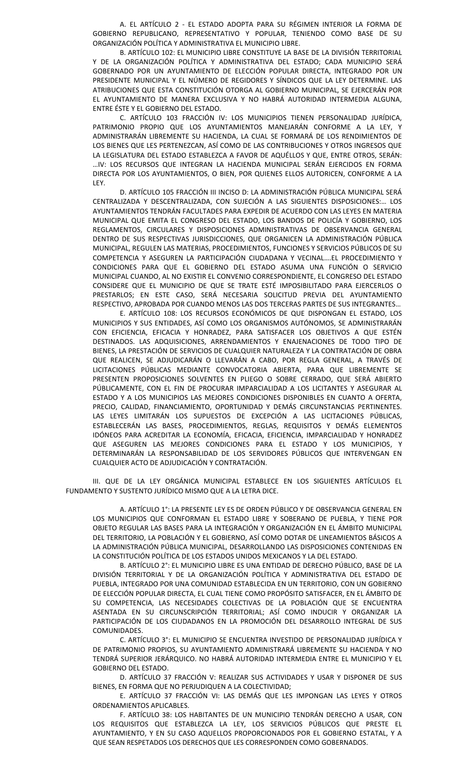A. EL ARTÍCULO 2 - EL ESTADO ADOPTA PARA SU RÉGIMEN INTERIOR LA FORMA DE GOBIERNO REPUBLICANO, REPRESENTATIVO Y POPULAR, TENIENDO COMO BASE DE SU ORGANIZACIÓN POLÍTICA Y ADMINISTRATIVA EL MUNICIPIO LIBRE.

B. ARTÍCULO 102: EL MUNICIPIO LIBRE CONSTITUYE LA BASE DE LA DIVISIÓN TERRITORIAL Y DE LA ORGANIZACIÓN POLÍTICA Y ADMINISTRATIVA DEL ESTADO; CADA MUNICIPIO SERÁ GOBERNADO POR UN AYUNTAMIENTO DE ELECCIÓN POPULAR DIRECTA, INTEGRADO POR UN PRESIDENTE MUNICIPAL Y EL NÚMERO DE REGIDORES Y SÍNDICOS QUE LA LEY DETERMINE. LAS ATRIBUCIONES QUE ESTA CONSTITUCIÓN OTORGA AL GOBIERNO MUNICIPAL, SE EJERCERÁN POR EL AYUNTAMIENTO DE MANERA EXCLUSIVA Y NO HABRÁ AUTORIDAD INTERMEDIA ALGUNA, ENTRE ÉSTE Y EL GOBIERNO DEL ESTADO.

C. ARTÍCULO 103 FRACCIÓN IV: LOS MUNICIPIOS TIENEN PERSONALIDAD JURÍDICA, PATRIMONIO PROPIO QUE LOS AYUNTAMIENTOS MANEJARÁN CONFORME A LA LEY, Y ADMINISTRARÁN LIBREMENTE SU HACIENDA, LA CUAL SE FORMARÁ DE LOS RENDIMIENTOS DE LOS BIENES QUE LES PERTENEZCAN, ASÍ COMO DE LAS CONTRIBUCIONES Y OTROS INGRESOS QUE LA LEGISLATURA DEL ESTADO ESTABLEZCA A FAVOR DE AQUÉLLOS Y QUE, ENTRE OTROS, SERÁN: …IV: LOS RECURSOS QUE INTEGRAN LA HACIENDA MUNICIPAL SERÁN EJERCIDOS EN FORMA DIRECTA POR LOS AYUNTAMIENTOS, O BIEN, POR QUIENES ELLOS AUTORICEN, CONFORME A LA LEY.

D. ARTÍCULO 105 FRACCIÓN III INCISO D: LA ADMINISTRACIÓN PÚBLICA MUNICIPAL SERÁ CENTRALIZADA Y DESCENTRALIZADA, CON SUJECIÓN A LAS SIGUIENTES DISPOSICIONES:… LOS AYUNTAMIENTOS TENDRÁN FACULTADES PARA EXPEDIR DE ACUERDO CON LAS LEYES EN MATERIA MUNICIPAL QUE EMITA EL CONGRESO DEL ESTADO, LOS BANDOS DE POLICÍA Y GOBIERNO, LOS REGLAMENTOS, CIRCULARES Y DISPOSICIONES ADMINISTRATIVAS DE OBSERVANCIA GENERAL DENTRO DE SUS RESPECTIVAS JURISDICCIONES, QUE ORGANICEN LA ADMINISTRACIÓN PÚBLICA MUNICIPAL, REGULEN LAS MATERIAS, PROCEDIMIENTOS, FUNCIONES Y SERVICIOS PÚBLICOS DE SU COMPETENCIA Y ASEGUREN LA PARTICIPACIÓN CIUDADANA Y VECINAL….EL PROCEDIMIENTO Y CONDICIONES PARA QUE EL GOBIERNO DEL ESTADO ASUMA UNA FUNCIÓN O SERVICIO MUNICIPAL CUANDO, AL NO EXISTIR EL CONVENIO CORRESPONDIENTE, EL CONGRESO DEL ESTADO CONSIDERE QUE EL MUNICIPIO DE QUE SE TRATE ESTÉ IMPOSIBILITADO PARA EJERCERLOS O PRESTARLOS; EN ESTE CASO, SERÁ NECESARIA SOLICITUD PREVIA DEL AYUNTAMIENTO RESPECTIVO, APROBADA POR CUANDO MENOS LAS DOS TERCERAS PARTES DE SUS INTEGRANTES…

E. ARTÍCULO 108: LOS RECURSOS ECONÓMICOS DE QUE DISPONGAN EL ESTADO, LOS MUNICIPIOS Y SUS ENTIDADES, ASÍ COMO LOS ORGANISMOS AUTÓNOMOS, SE ADMINISTRARÁN CON EFICIENCIA, EFICACIA Y HONRADEZ, PARA SATISFACER LOS OBJETIVOS A QUE ESTÉN DESTINADOS. LAS ADQUISICIONES, ARRENDAMIENTOS Y ENAJENACIONES DE TODO TIPO DE BIENES, LA PRESTACIÓN DE SERVICIOS DE CUALQUIER NATURALEZA Y LA CONTRATACIÓN DE OBRA QUE REALICEN, SE ADJUDICARÁN O LLEVARÁN A CABO, POR REGLA GENERAL, A TRAVÉS DE LICITACIONES PÚBLICAS MEDIANTE CONVOCATORIA ABIERTA, PARA QUE LIBREMENTE SE PRESENTEN PROPOSICIONES SOLVENTES EN PLIEGO O SOBRE CERRADO, QUE SERÁ ABIERTO PÚBLICAMENTE, CON EL FIN DE PROCURAR IMPARCIALIDAD A LOS LICITANTES Y ASEGURAR AL ESTADO Y A LOS MUNICIPIOS LAS MEJORES CONDICIONES DISPONIBLES EN CUANTO A OFERTA, PRECIO, CALIDAD, FINANCIAMIENTO, OPORTUNIDAD Y DEMÁS CIRCUNSTANCIAS PERTINENTES. LAS LEYES LIMITARÁN LOS SUPUESTOS DE EXCEPCIÓN A LAS LICITACIONES PÚBLICAS, ESTABLECERÁN LAS BASES, PROCEDIMIENTOS, REGLAS, REQUISITOS Y DEMÁS ELEMENTOS IDÓNEOS PARA ACREDITAR LA ECONOMÍA, EFICACIA, EFICIENCIA, IMPARCIALIDAD Y HONRADEZ QUE ASEGUREN LAS MEJORES CONDICIONES PARA EL ESTADO Y LOS MUNICIPIOS, Y DETERMINARÁN LA RESPONSABILIDAD DE LOS SERVIDORES PÚBLICOS QUE INTERVENGAN EN CUALQUIER ACTO DE ADJUDICACIÓN Y CONTRATACIÓN.

III. QUE DE LA LEY ORGÁNICA MUNICIPAL ESTABLECE EN LOS SIGUIENTES ARTÍCULOS EL FUNDAMENTO Y SUSTENTO JURÍDICO MISMO QUE A LA LETRA DICE.

A. ARTÍCULO 1°: LA PRESENTE LEY ES DE ORDEN PÚBLICO Y DE OBSERVANCIA GENERAL EN LOS MUNICIPIOS QUE CONFORMAN EL ESTADO LIBRE Y SOBERANO DE PUEBLA, Y TIENE POR OBJETO REGULAR LAS BASES PARA LA INTEGRACIÓN Y ORGANIZACIÓN EN EL ÁMBITO MUNICIPAL DEL TERRITORIO, LA POBLACIÓN Y EL GOBIERNO, ASÍ COMO DOTAR DE LINEAMIENTOS BÁSICOS A LA ADMINISTRACIÓN PÚBLICA MUNICIPAL, DESARROLLANDO LAS DISPOSICIONES CONTENIDAS EN LA CONSTITUCIÓN POLÍTICA DE LOS ESTADOS UNIDOS MEXICANOS Y LA DEL ESTADO.

B. ARTÍCULO 2°: EL MUNICIPIO LIBRE ES UNA ENTIDAD DE DERECHO PÚBLICO, BASE DE LA DIVISIÓN TERRITORIAL Y DE LA ORGANIZACIÓN POLÍTICA Y ADMINISTRATIVA DEL ESTADO DE PUEBLA, INTEGRADO POR UNA COMUNIDAD ESTABLECIDA EN UN TERRITORIO, CON UN GOBIERNO DE ELECCIÓN POPULAR DIRECTA, EL CUAL TIENE COMO PROPÓSITO SATISFACER, EN EL ÁMBITO DE SU COMPETENCIA, LAS NECESIDADES COLECTIVAS DE LA POBLACIÓN QUE SE ENCUENTRA ASENTADA EN SU CIRCUNSCRIPCIÓN TERRITORIAL; ASÍ COMO INDUCIR Y ORGANIZAR LA PARTICIPACIÓN DE LOS CIUDADANOS EN LA PROMOCIÓN DEL DESARROLLO INTEGRAL DE SUS COMUNIDADES.

C. ARTÍCULO 3°: EL MUNICIPIO SE ENCUENTRA INVESTIDO DE PERSONALIDAD JURÍDICA Y DE PATRIMONIO PROPIOS, SU AYUNTAMIENTO ADMINISTRARÁ LIBREMENTE SU HACIENDA Y NO TENDRÁ SUPERIOR JERÁRQUICO. NO HABRÁ AUTORIDAD INTERMEDIA ENTRE EL MUNICIPIO Y EL GOBIERNO DEL ESTADO.

D. ARTÍCULO 37 FRACCIÓN V: REALIZAR SUS ACTIVIDADES Y USAR Y DISPONER DE SUS BIENES, EN FORMA QUE NO PERJUDIQUEN A LA COLECTIVIDAD;

E. ARTÍCULO 37 FRACCIÓN VI: LAS DEMÁS QUE LES IMPONGAN LAS LEYES Y OTROS ORDENAMIENTOS APLICABLES.

F. ARTÍCULO 38: LOS HABITANTES DE UN MUNICIPIO TENDRÁN DERECHO A USAR, CON LOS REQUISITOS QUE ESTABLEZCA LA LEY, LOS SERVICIOS PÚBLICOS QUE PRESTE EL AYUNTAMIENTO, Y EN SU CASO AQUELLOS PROPORCIONADOS POR EL GOBIERNO ESTATAL, Y A QUE SEAN RESPETADOS LOS DERECHOS QUE LES CORRESPONDEN COMO GOBERNADOS.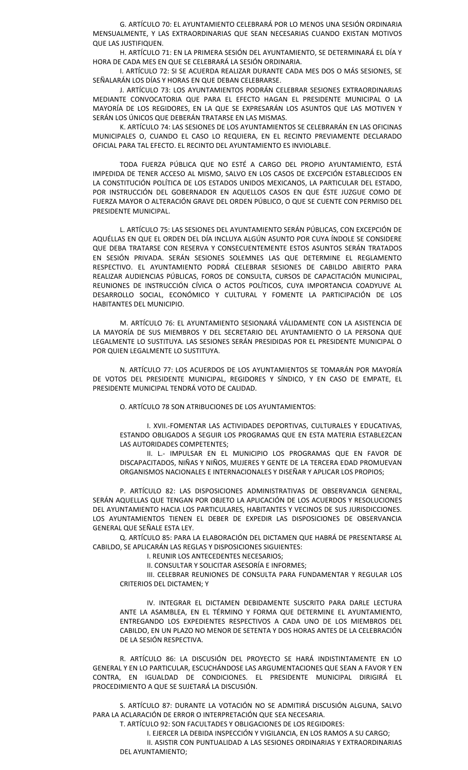G. ARTÍCULO 70: EL AYUNTAMIENTO CELEBRARÁ POR LO MENOS UNA SESIÓN ORDINARIA MENSUALMENTE, Y LAS EXTRAORDINARIAS QUE SEAN NECESARIAS CUANDO EXISTAN MOTIVOS QUE LAS JUSTIFIQUEN.

H. ARTÍCULO 71: EN LA PRIMERA SESIÓN DEL AYUNTAMIENTO, SE DETERMINARÁ EL DÍA Y HORA DE CADA MES EN QUE SE CELEBRARÁ LA SESIÓN ORDINARIA.

I. ARTÍCULO 72: SI SE ACUERDA REALIZAR DURANTE CADA MES DOS O MÁS SESIONES, SE SEÑALARÁN LOS DÍAS Y HORAS EN QUE DEBAN CELEBRARSE.

J. ARTÍCULO 73: LOS AYUNTAMIENTOS PODRÁN CELEBRAR SESIONES EXTRAORDINARIAS MEDIANTE CONVOCATORIA QUE PARA EL EFECTO HAGAN EL PRESIDENTE MUNICIPAL O LA MAYORÍA DE LOS REGIDORES, EN LA QUE SE EXPRESARÁN LOS ASUNTOS QUE LAS MOTIVEN Y SERÁN LOS ÚNICOS QUE DEBERÁN TRATARSE EN LAS MISMAS.

K. ARTÍCULO 74: LAS SESIONES DE LOS AYUNTAMIENTOS SE CELEBRARÁN EN LAS OFICINAS MUNICIPALES O, CUANDO EL CASO LO REQUIERA, EN EL RECINTO PREVIAMENTE DECLARADO OFICIAL PARA TAL EFECTO. EL RECINTO DEL AYUNTAMIENTO ES INVIOLABLE.

TODA FUERZA PÚBLICA QUE NO ESTÉ A CARGO DEL PROPIO AYUNTAMIENTO, ESTÁ IMPEDIDA DE TENER ACCESO AL MISMO, SALVO EN LOS CASOS DE EXCEPCIÓN ESTABLECIDOS EN LA CONSTITUCIÓN POLÍTICA DE LOS ESTADOS UNIDOS MEXICANOS, LA PARTICULAR DEL ESTADO, POR INSTRUCCIÓN DEL GOBERNADOR EN AQUELLOS CASOS EN QUE ÉSTE JUZGUE COMO DE FUERZA MAYOR O ALTERACIÓN GRAVE DEL ORDEN PÚBLICO, O QUE SE CUENTE CON PERMISO DEL PRESIDENTE MUNICIPAL.

L. ARTÍCULO 75: LAS SESIONES DEL AYUNTAMIENTO SERÁN PÚBLICAS, CON EXCEPCIÓN DE AQUÉLLAS EN QUE EL ORDEN DEL DÍA INCLUYA ALGÚN ASUNTO POR CUYA ÍNDOLE SE CONSIDERE QUE DEBA TRATARSE CON RESERVA Y CONSECUENTEMENTE ESTOS ASUNTOS SERÁN TRATADOS EN SESIÓN PRIVADA. SERÁN SESIONES SOLEMNES LAS QUE DETERMINE EL REGLAMENTO RESPECTIVO. EL AYUNTAMIENTO PODRÁ CELEBRAR SESIONES DE CABILDO ABIERTO PARA REALIZAR AUDIENCIAS PÚBLICAS, FOROS DE CONSULTA, CURSOS DE CAPACITACIÓN MUNICIPAL, REUNIONES DE INSTRUCCIÓN CÍVICA O ACTOS POLÍTICOS, CUYA IMPORTANCIA COADYUVE AL DESARROLLO SOCIAL, ECONÓMICO Y CULTURAL Y FOMENTE LA PARTICIPACIÓN DE LOS HABITANTES DEL MUNICIPIO.

M. ARTÍCULO 76: EL AYUNTAMIENTO SESIONARÁ VÁLIDAMENTE CON LA ASISTENCIA DE LA MAYORÍA DE SUS MIEMBROS Y DEL SECRETARIO DEL AYUNTAMIENTO O LA PERSONA QUE LEGALMENTE LO SUSTITUYA. LAS SESIONES SERÁN PRESIDIDAS POR EL PRESIDENTE MUNICIPAL O POR QUIEN LEGALMENTE LO SUSTITUYA.

N. ARTÍCULO 77: LOS ACUERDOS DE LOS AYUNTAMIENTOS SE TOMARÁN POR MAYORÍA DE VOTOS DEL PRESIDENTE MUNICIPAL, REGIDORES Y SÍNDICO, Y EN CASO DE EMPATE, EL PRESIDENTE MUNICIPAL TENDRÁ VOTO DE CALIDAD.

O. ARTÍCULO 78 SON ATRIBUCIONES DE LOS AYUNTAMIENTOS:

I. XVII.-FOMENTAR LAS ACTIVIDADES DEPORTIVAS, CULTURALES Y EDUCATIVAS, ESTANDO OBLIGADOS A SEGUIR LOS PROGRAMAS QUE EN ESTA MATERIA ESTABLEZCAN LAS AUTORIDADES COMPETENTES;

II. L.- IMPULSAR EN EL MUNICIPIO LOS PROGRAMAS QUE EN FAVOR DE DISCAPACITADOS, NIÑAS Y NIÑOS, MUJERES Y GENTE DE LA TERCERA EDAD PROMUEVAN ORGANISMOS NACIONALES E INTERNACIONALES Y DISEÑAR Y APLICAR LOS PROPIOS;

P. ARTÍCULO 82: LAS DISPOSICIONES ADMINISTRATIVAS DE OBSERVANCIA GENERAL, SERÁN AQUELLAS QUE TENGAN POR OBJETO LA APLICACIÓN DE LOS ACUERDOS Y RESOLUCIONES DEL AYUNTAMIENTO HACIA LOS PARTICULARES, HABITANTES Y VECINOS DE SUS JURISDICCIONES. LOS AYUNTAMIENTOS TIENEN EL DEBER DE EXPEDIR LAS DISPOSICIONES DE OBSERVANCIA GENERAL QUE SEÑALE ESTA LEY.

Q. ARTÍCULO 85: PARA LA ELABORACIÓN DEL DICTAMEN QUE HABRÁ DE PRESENTARSE AL CABILDO, SE APLICARÁN LAS REGLAS Y DISPOSICIONES SIGUIENTES:

I. REUNIR LOS ANTECEDENTES NECESARIOS;

II. CONSULTAR Y SOLICITAR ASESORÍA E INFORMES;

III. CELEBRAR REUNIONES DE CONSULTA PARA FUNDAMENTAR Y REGULAR LOS CRITERIOS DEL DICTAMEN; Y

IV. INTEGRAR EL DICTAMEN DEBIDAMENTE SUSCRITO PARA DARLE LECTURA ANTE LA ASAMBLEA, EN EL TÉRMINO Y FORMA QUE DETERMINE EL AYUNTAMIENTO, ENTREGANDO LOS EXPEDIENTES RESPECTIVOS A CADA UNO DE LOS MIEMBROS DEL CABILDO, EN UN PLAZO NO MENOR DE SETENTA Y DOS HORAS ANTES DE LA CELEBRACIÓN DE LA SESIÓN RESPECTIVA.

R. ARTÍCULO 86: LA DISCUSIÓN DEL PROYECTO SE HARÁ INDISTINTAMENTE EN LO GENERAL Y EN LO PARTICULAR, ESCUCHÁNDOSE LAS ARGUMENTACIONES QUE SEAN A FAVOR Y EN CONTRA, EN IGUALDAD DE CONDICIONES. EL PRESIDENTE MUNICIPAL DIRIGIRÁ EL PROCEDIMIENTO A QUE SE SUJETARÁ LA DISCUSIÓN.

S. ARTÍCULO 87: DURANTE LA VOTACIÓN NO SE ADMITIRÁ DISCUSIÓN ALGUNA, SALVO PARA LA ACLARACIÓN DE ERROR O INTERPRETACIÓN QUE SEA NECESARIA.

T. ARTÍCULO 92: SON FACULTADES Y OBLIGACIONES DE LOS REGIDORES:

I. EJERCER LA DEBIDA INSPECCIÓN Y VIGILANCIA, EN LOS RAMOS A SU CARGO;

II. ASISTIR CON PUNTUALIDAD A LAS SESIONES ORDINARIAS Y EXTRAORDINARIAS DEL AYUNTAMIENTO;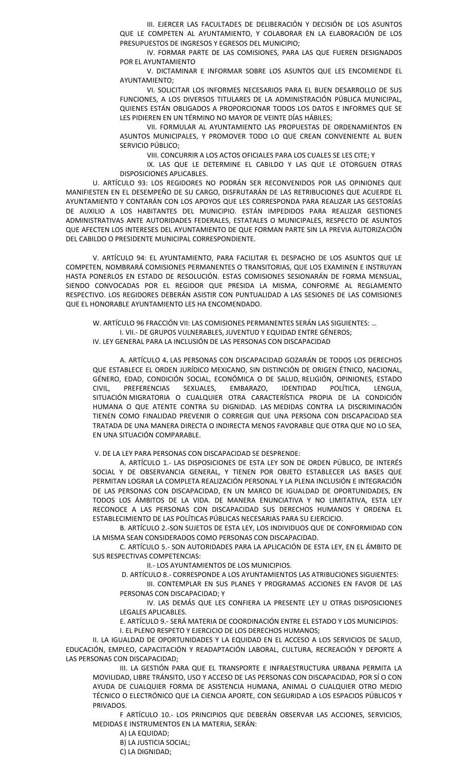III. EJERCER LAS FACULTADES DE DELIBERACIÓN Y DECISIÓN DE LOS ASUNTOS QUE LE COMPETEN AL AYUNTAMIENTO, Y COLABORAR EN LA ELABORACIÓN DE LOS PRESUPUESTOS DE INGRESOS Y EGRESOS DEL MUNICIPIO;

IV. FORMAR PARTE DE LAS COMISIONES, PARA LAS QUE FUEREN DESIGNADOS POR EL AYUNTAMIENTO

V. DICTAMINAR E INFORMAR SOBRE LOS ASUNTOS QUE LES ENCOMIENDE EL AYUNTAMIENTO;

VI. SOLICITAR LOS INFORMES NECESARIOS PARA EL BUEN DESARROLLO DE SUS FUNCIONES, A LOS DIVERSOS TITULARES DE LA ADMINISTRACIÓN PÚBLICA MUNICIPAL, QUIENES ESTÁN OBLIGADOS A PROPORCIONAR TODOS LOS DATOS E INFORMES QUE SE LES PIDIEREN EN UN TÉRMINO NO MAYOR DE VEINTE DÍAS HÁBILES;

VII. FORMULAR AL AYUNTAMIENTO LAS PROPUESTAS DE ORDENAMIENTOS EN ASUNTOS MUNICIPALES, Y PROMOVER TODO LO QUE CREAN CONVENIENTE AL BUEN SERVICIO PÚBLICO;

VIII. CONCURRIR A LOS ACTOS OFICIALES PARA LOS CUALES SE LES CITE; Y

IX. LAS QUE LE DETERMINE EL CABILDO Y LAS QUE LE OTORGUEN OTRAS DISPOSICIONES APLICABLES.

U. ARTÍCULO 93: LOS REGIDORES NO PODRÁN SER RECONVENIDOS POR LAS OPINIONES QUE MANIFIESTEN EN EL DESEMPEÑO DE SU CARGO, DISFRUTARÁN DE LAS RETRIBUCIONES QUE ACUERDE EL AYUNTAMIENTO Y CONTARÁN CON LOS APOYOS QUE LES CORRESPONDA PARA REALIZAR LAS GESTORÍAS DE AUXILIO A LOS HABITANTES DEL MUNICIPIO. ESTÁN IMPEDIDOS PARA REALIZAR GESTIONES ADMINISTRATIVAS ANTE AUTORIDADES FEDERALES, ESTATALES O MUNICIPALES, RESPECTO DE ASUNTOS QUE AFECTEN LOS INTERESES DEL AYUNTAMIENTO DE QUE FORMAN PARTE SIN LA PREVIA AUTORIZACIÓN DEL CABILDO O PRESIDENTE MUNICIPAL CORRESPONDIENTE.

V. ARTÍCULO 94: EL AYUNTAMIENTO, PARA FACILITAR EL DESPACHO DE LOS ASUNTOS QUE LE COMPETEN, NOMBRARÁ COMISIONES PERMANENTES O TRANSITORIAS, QUE LOS EXAMINEN E INSTRUYAN HASTA PONERLOS EN ESTADO DE RESOLUCIÓN. ESTAS COMISIONES SESIONARÁN DE FORMA MENSUAL, SIENDO CONVOCADAS POR EL REGIDOR QUE PRESIDA LA MISMA, CONFORME AL REGLAMENTO RESPECTIVO. LOS REGIDORES DEBERÁN ASISTIR CON PUNTUALIDAD A LAS SESIONES DE LAS COMISIONES QUE EL HONORABLE AYUNTAMIENTO LES HA ENCOMENDADO.

W. ARTÍCULO 96 FRACCIÓN VII: LAS COMISIONES PERMANENTES SERÁN LAS SIGUIENTES: … I. VII.- DE GRUPOS VULNERABLES, JUVENTUD Y EQUIDAD ENTRE GÉNEROS; IV. LEY GENERAL PARA LA INCLUSIÓN DE LAS PERSONAS CON DISCAPACIDAD

A. ARTÍCULO 4**.** LAS PERSONAS CON DISCAPACIDAD GOZARÁN DE TODOS LOS DERECHOS QUE ESTABLECE EL ORDEN JURÍDICO MEXICANO, SIN DISTINCIÓN DE ORIGEN ÉTNICO, NACIONAL, GÉNERO, EDAD, CONDICIÓN SOCIAL, ECONÓMICA O DE SALUD, RELIGIÓN, OPINIONES, ESTADO CIVIL, PREFERENCIAS SEXUALES, EMBARAZO, IDENTIDAD POLÍTICA, LENGUA, SITUACIÓN MIGRATORIA O CUALQUIER OTRA CARACTERÍSTICA PROPIA DE LA CONDICIÓN HUMANA O QUE ATENTE CONTRA SU DIGNIDAD. LAS MEDIDAS CONTRA LA DISCRIMINACIÓN TIENEN COMO FINALIDAD PREVENIR O CORREGIR QUE UNA PERSONA CON DISCAPACIDAD SEA TRATADA DE UNA MANERA DIRECTA O INDIRECTA MENOS FAVORABLE QUE OTRA QUE NO LO SEA, EN UNA SITUACIÓN COMPARABLE.

V. DE LA LEY PARA PERSONAS CON DISCAPACIDAD SE DESPRENDE:

A. ARTÍCULO 1.- LAS DISPOSICIONES DE ESTA LEY SON DE ORDEN PÚBLICO, DE INTERÉS SOCIAL Y DE OBSERVANCIA GENERAL, Y TIENEN POR OBJETO ESTABLECER LAS BASES QUE PERMITAN LOGRAR LA COMPLETA REALIZACIÓN PERSONAL Y LA PLENA INCLUSIÓN E INTEGRACIÓN DE LAS PERSONAS CON DISCAPACIDAD, EN UN MARCO DE IGUALDAD DE OPORTUNIDADES, EN TODOS LOS ÁMBITOS DE LA VIDA. DE MANERA ENUNCIATIVA Y NO LIMITATIVA, ESTA LEY RECONOCE A LAS PERSONAS CON DISCAPACIDAD SUS DERECHOS HUMANOS Y ORDENA EL ESTABLECIMIENTO DE LAS POLÍTICAS PÚBLICAS NECESARIAS PARA SU EJERCICIO.

B. ARTÍCULO 2.-SON SUJETOS DE ESTA LEY, LOS INDIVIDUOS QUE DE CONFORMIDAD CON LA MISMA SEAN CONSIDERADOS COMO PERSONAS CON DISCAPACIDAD.

C. ARTÍCULO 5.- SON AUTORIDADES PARA LA APLICACIÓN DE ESTA LEY, EN EL ÁMBITO DE SUS RESPECTIVAS COMPETENCIAS:

II.- LOS AYUNTAMIENTOS DE LOS MUNICIPIOS.

D. ARTÍCULO 8.- CORRESPONDE A LOS AYUNTAMIENTOS LAS ATRIBUCIONES SIGUIENTES: III. CONTEMPLAR EN SUS PLANES Y PROGRAMAS ACCIONES EN FAVOR DE LAS PERSONAS CON DISCAPACIDAD; Y

IV. LAS DEMÁS QUE LES CONFIERA LA PRESENTE LEY U OTRAS DISPOSICIONES LEGALES APLICABLES.

E. ARTÍCULO 9.- SERÁ MATERIA DE COORDINACIÓN ENTRE EL ESTADO Y LOS MUNICIPIOS: I. EL PLENO RESPETO Y EJERCICIO DE LOS DERECHOS HUMANOS;

II. LA IGUALDAD DE OPORTUNIDADES Y LA EQUIDAD EN EL ACCESO A LOS SERVICIOS DE SALUD, EDUCACIÓN, EMPLEO, CAPACITACIÓN Y READAPTACIÓN LABORAL, CULTURA, RECREACIÓN Y DEPORTE A LAS PERSONAS CON DISCAPACIDAD;

III. LA GESTIÓN PARA QUE EL TRANSPORTE E INFRAESTRUCTURA URBANA PERMITA LA MOVILIDAD, LIBRE TRÁNSITO, USO Y ACCESO DE LAS PERSONAS CON DISCAPACIDAD, POR SÍ O CON AYUDA DE CUALQUIER FORMA DE ASISTENCIA HUMANA, ANIMAL O CUALQUIER OTRO MEDIO TÉCNICO O ELECTRÓNICO QUE LA CIENCIA APORTE, CON SEGURIDAD A LOS ESPACIOS PÚBLICOS Y PRIVADOS.

F ARTÍCULO 10.- LOS PRINCIPIOS QUE DEBERÁN OBSERVAR LAS ACCIONES, SERVICIOS, MEDIDAS E INSTRUMENTOS EN LA MATERIA, SERÁN:

A) LA EQUIDAD;

B) LA JUSTICIA SOCIAL;

C) LA DIGNIDAD;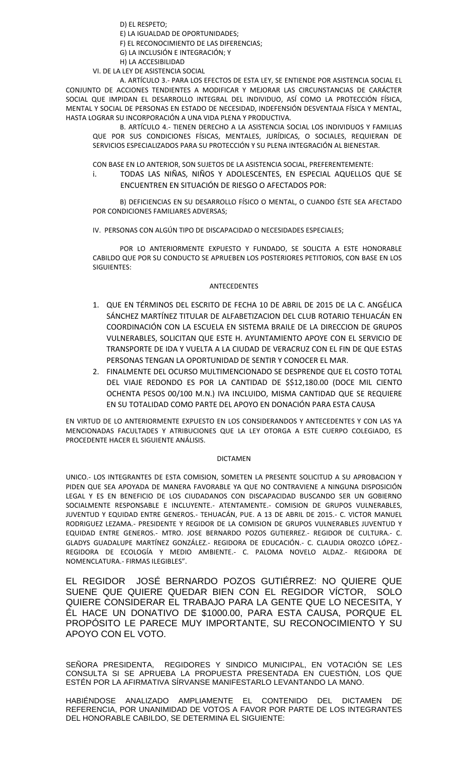D) EL RESPETO;

E) LA IGUALDAD DE OPORTUNIDADES;

F) EL RECONOCIMIENTO DE LAS DIFERENCIAS;

G) LA INCLUSIÓN E INTEGRACIÓN; Y

H) LA ACCESIBILIDAD

VI. DE LA LEY DE ASISTENCIA SOCIAL

A. ARTÍCULO 3.- PARA LOS EFECTOS DE ESTA LEY, SE ENTIENDE POR ASISTENCIA SOCIAL EL CONJUNTO DE ACCIONES TENDIENTES A MODIFICAR Y MEJORAR LAS CIRCUNSTANCIAS DE CARÁCTER SOCIAL QUE IMPIDAN EL DESARROLLO INTEGRAL DEL INDIVIDUO, ASÍ COMO LA PROTECCIÓN FÍSICA, MENTAL Y SOCIAL DE PERSONAS EN ESTADO DE NECESIDAD, INDEFENSIÓN DESVENTAJA FÍSICA Y MENTAL, HASTA LOGRAR SU INCORPORACIÓN A UNA VIDA PLENA Y PRODUCTIVA.

B. ARTÍCULO 4.- TIENEN DERECHO A LA ASISTENCIA SOCIAL LOS INDIVIDUOS Y FAMILIAS QUE POR SUS CONDICIONES FÍSICAS, MENTALES, JURÍDICAS, O SOCIALES, REQUIERAN DE SERVICIOS ESPECIALIZADOS PARA SU PROTECCIÓN Y SU PLENA INTEGRACIÓN AL BIENESTAR.

CON BASE EN LO ANTERIOR, SON SUJETOS DE LA ASISTENCIA SOCIAL, PREFERENTEMENTE:

TODAS LAS NIÑAS, NIÑOS Y ADOLESCENTES, EN ESPECIAL AQUELLOS QUE SE ENCUENTREN EN SITUACIÓN DE RIESGO O AFECTADOS POR:

B) DEFICIENCIAS EN SU DESARROLLO FÍSICO O MENTAL, O CUANDO ÉSTE SEA AFECTADO POR CONDICIONES FAMILIARES ADVERSAS;

IV. PERSONAS CON ALGÚN TIPO DE DISCAPACIDAD O NECESIDADES ESPECIALES;

POR LO ANTERIORMENTE EXPUESTO Y FUNDADO, SE SOLICITA A ESTE HONORABLE CABILDO QUE POR SU CONDUCTO SE APRUEBEN LOS POSTERIORES PETITORIOS, CON BASE EN LOS SIGUIENTES:

#### **ANTECEDENTES**

- 1. QUE EN TÉRMINOS DEL ESCRITO DE FECHA 10 DE ABRIL DE 2015 DE LA C. ANGÉLICA SÁNCHEZ MARTÍNEZ TITULAR DE ALFABETIZACION DEL CLUB ROTARIO TEHUACÁN EN COORDINACIÓN CON LA ESCUELA EN SISTEMA BRAILE DE LA DIRECCION DE GRUPOS VULNERABLES, SOLICITAN QUE ESTE H. AYUNTAMIENTO APOYE CON EL SERVICIO DE TRANSPORTE DE IDA Y VUELTA A LA CIUDAD DE VERACRUZ CON EL FIN DE QUE ESTAS PERSONAS TENGAN LA OPORTUNIDAD DE SENTIR Y CONOCER EL MAR.
- 2. FINALMENTE DEL OCURSO MULTIMENCIONADO SE DESPRENDE QUE EL COSTO TOTAL DEL VIAJE REDONDO ES POR LA CANTIDAD DE \$\$12,180.00 (DOCE MIL CIENTO OCHENTA PESOS 00/100 M.N.) IVA INCLUIDO, MISMA CANTIDAD QUE SE REQUIERE EN SU TOTALIDAD COMO PARTE DEL APOYO EN DONACIÓN PARA ESTA CAUSA

EN VIRTUD DE LO ANTERIORMENTE EXPUESTO EN LOS CONSIDERANDOS Y ANTECEDENTES Y CON LAS YA MENCIONADAS FACULTADES Y ATRIBUCIONES QUE LA LEY OTORGA A ESTE CUERPO COLEGIADO, ES PROCEDENTE HACER EL SIGUIENTE ANÁLISIS.

#### DICTAMEN

UNICO.- LOS INTEGRANTES DE ESTA COMISION, SOMETEN LA PRESENTE SOLICITUD A SU APROBACION Y PIDEN QUE SEA APOYADA DE MANERA FAVORABLE YA QUE NO CONTRAVIENE A NINGUNA DISPOSICIÓN LEGAL Y ES EN BENEFICIO DE LOS CIUDADANOS CON DISCAPACIDAD BUSCANDO SER UN GOBIERNO SOCIALMENTE RESPONSABLE E INCLUYENTE.- ATENTAMENTE.- COMISION DE GRUPOS VULNERABLES, JUVENTUD Y EQUIDAD ENTRE GENEROS.- TEHUACÁN, PUE. A 13 DE ABRIL DE 2015.- C. VICTOR MANUEL RODRIGUEZ LEZAMA.- PRESIDENTE Y REGIDOR DE LA COMISION DE GRUPOS VULNERABLES JUVENTUD Y EQUIDAD ENTRE GENEROS.- MTRO. JOSE BERNARDO POZOS GUTIERREZ.- REGIDOR DE CULTURA.- C. GLADYS GUADALUPE MARTÍNEZ GONZÁLEZ.- REGIDORA DE EDUCACIÓN.- C. CLAUDIA OROZCO LÓPEZ.- REGIDORA DE ECOLOGÍA Y MEDIO AMBIENTE.- C. PALOMA NOVELO ALDAZ.- REGIDORA DE NOMENCLATURA.- FIRMAS ILEGIBLES".

EL REGIDOR JOSÉ BERNARDO POZOS GUTIÉRREZ: NO QUIERE QUE SUENE QUE QUIERE QUEDAR BIEN CON EL REGIDOR VÍCTOR, SOLO QUIERE CONSIDERAR EL TRABAJO PARA LA GENTE QUE LO NECESITA, Y ÉL HACE UN DONATIVO DE \$1000.00, PARA ESTA CAUSA, PORQUE EL PROPÓSITO LE PARECE MUY IMPORTANTE, SU RECONOCIMIENTO Y SU APOYO CON EL VOTO.

SEÑORA PRESIDENTA, REGIDORES Y SINDICO MUNICIPAL, EN VOTACIÓN SE LES CONSULTA SI SE APRUEBA LA PROPUESTA PRESENTADA EN CUESTIÓN, LOS QUE ESTÉN POR LA AFIRMATIVA SÍRVANSE MANIFESTARLO LEVANTANDO LA MANO.

HABIÉNDOSE ANALIZADO AMPLIAMENTE EL CONTENIDO DEL DICTAMEN DE REFERENCIA, POR UNANIMIDAD DE VOTOS A FAVOR POR PARTE DE LOS INTEGRANTES DEL HONORABLE CABILDO, SE DETERMINA EL SIGUIENTE: